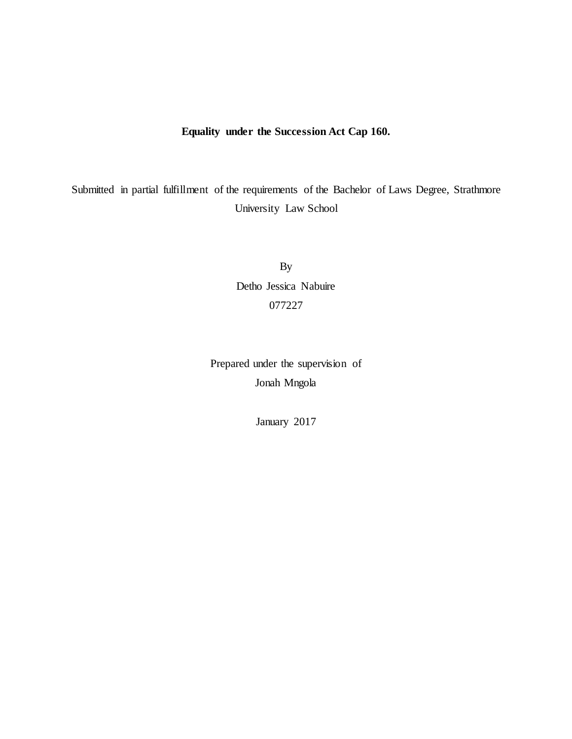# **Equality under the Succession Act Cap 160.**

Submitted in partial fulfillment of the requirements of the Bachelor of Laws Degree, Strathmore University Law School

> By Detho Jessica Nabuire 077227

Prepared under the supervision of Jonah Mngola

January 2017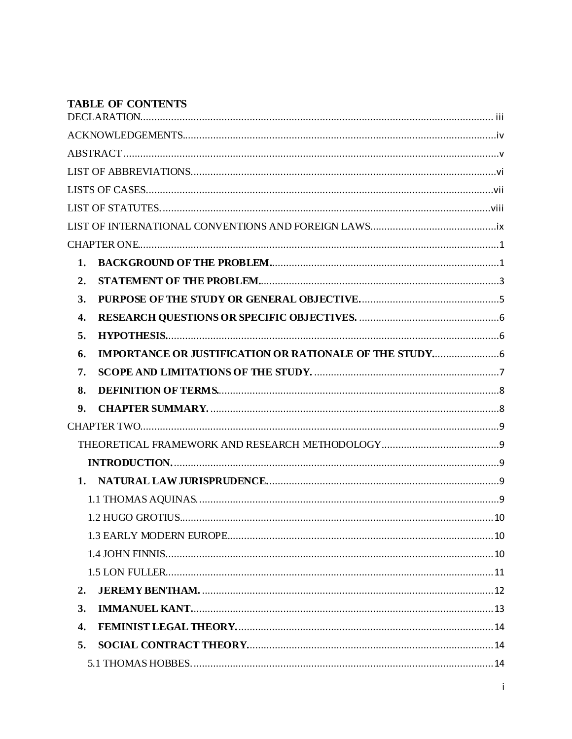# **TABLE OF CONTENTS**

| 1.                 |  |  |
|--------------------|--|--|
| 2.                 |  |  |
| 3.                 |  |  |
| $\boldsymbol{4}$ . |  |  |
| 5.                 |  |  |
| 6.                 |  |  |
| 7.                 |  |  |
| 8.                 |  |  |
| 9.                 |  |  |
|                    |  |  |
|                    |  |  |
|                    |  |  |
|                    |  |  |
|                    |  |  |
|                    |  |  |
|                    |  |  |
|                    |  |  |
|                    |  |  |
| 2.                 |  |  |
| 3.                 |  |  |
| 4.                 |  |  |
| 5.                 |  |  |
|                    |  |  |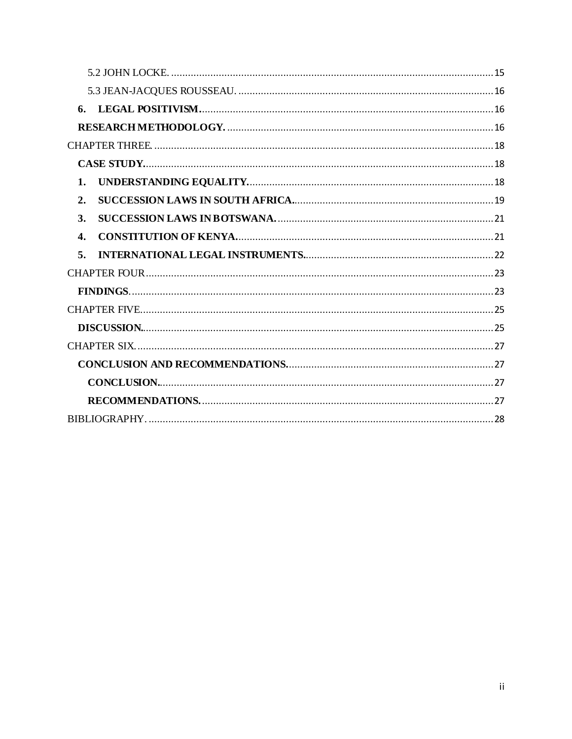| 6.             |  |  |
|----------------|--|--|
|                |  |  |
|                |  |  |
|                |  |  |
| $\mathbf{1}$ . |  |  |
| 2.             |  |  |
| 3.             |  |  |
| $\mathbf{4}$ . |  |  |
| 5.             |  |  |
|                |  |  |
|                |  |  |
|                |  |  |
|                |  |  |
|                |  |  |
|                |  |  |
|                |  |  |
|                |  |  |
|                |  |  |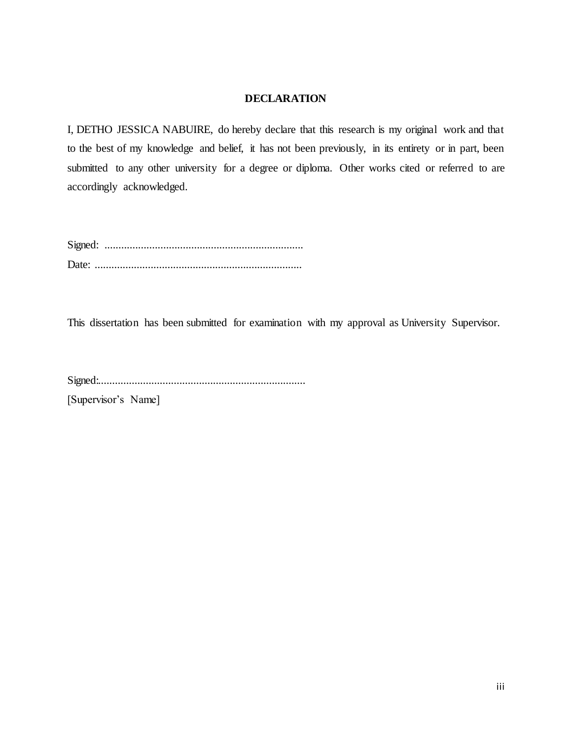# **DECLARATION**

<span id="page-3-0"></span>I, DETHO JESSICA NABUIRE, do hereby declare that this research is my original work and that to the best of my knowledge and belief, it has not been previously, in its entirety or in part, been submitted to any other university for a degree or diploma. Other works cited or referred to are accordingly acknowledged.

Signed: ....................................................................... Date: ..........................................................................

This dissertation has been submitted for examination with my approval as University Supervisor.

Signed:..........................................................................

[Supervisor's Name]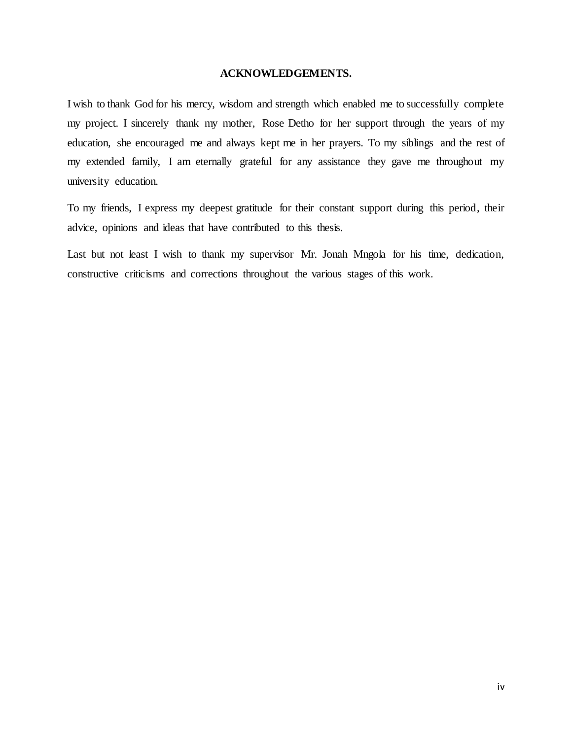## **ACKNOWLEDGEMENTS.**

<span id="page-4-0"></span>I wish to thank God for his mercy, wisdom and strength which enabled me to successfully complete my project. I sincerely thank my mother, Rose Detho for her support through the years of my education, she encouraged me and always kept me in her prayers. To my siblings and the rest of my extended family, I am eternally grateful for any assistance they gave me throughout my university education.

To my friends, I express my deepest gratitude for their constant support during this period, their advice, opinions and ideas that have contributed to this thesis.

Last but not least I wish to thank my supervisor Mr. Jonah Mngola for his time, dedication, constructive criticisms and corrections throughout the various stages of this work.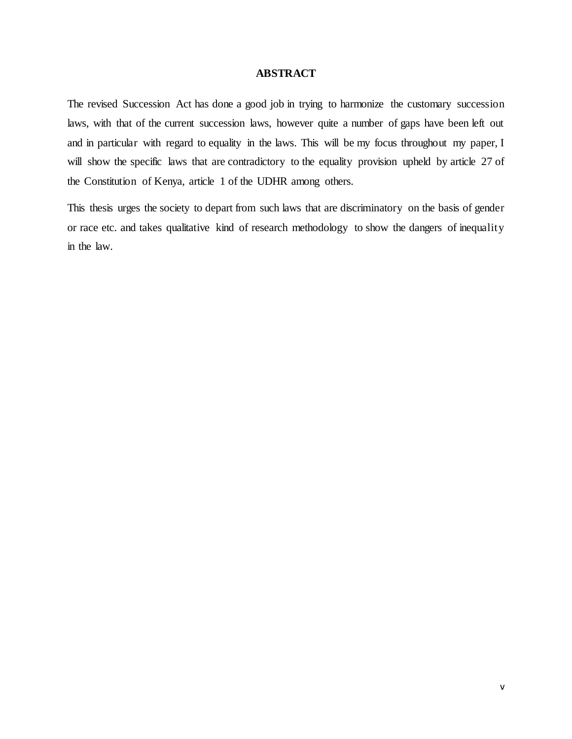## **ABSTRACT**

<span id="page-5-0"></span>The revised Succession Act has done a good job in trying to harmonize the customary succession laws, with that of the current succession laws, however quite a number of gaps have been left out and in particular with regard to equality in the laws. This will be my focus throughout my paper, I will show the specific laws that are contradictory to the equality provision upheld by article 27 of the Constitution of Kenya, article 1 of the UDHR among others.

This thesis urges the society to depart from such laws that are discriminatory on the basis of gender or race etc. and takes qualitative kind of research methodology to show the dangers of inequality in the law.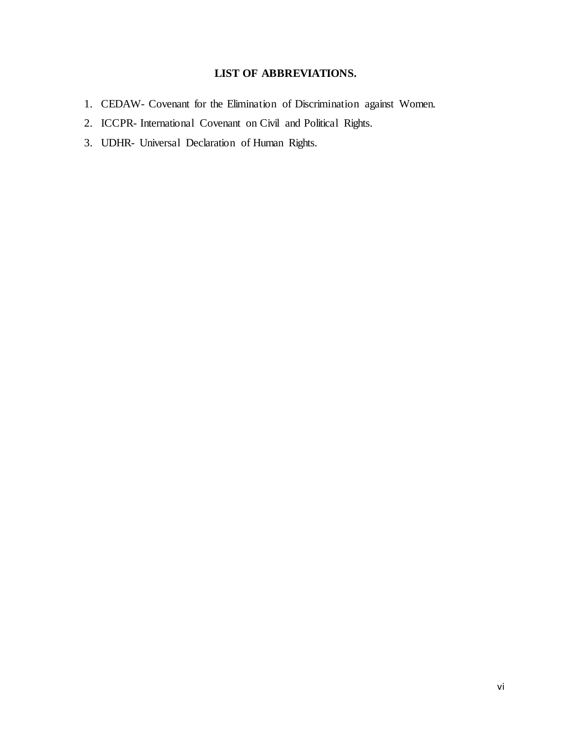# **LIST OF ABBREVIATIONS.**

- <span id="page-6-0"></span>1. CEDAW- Covenant for the Elimination of Discrimination against Women.
- 2. ICCPR- International Covenant on Civil and Political Rights.
- 3. UDHR- Universal Declaration of Human Rights.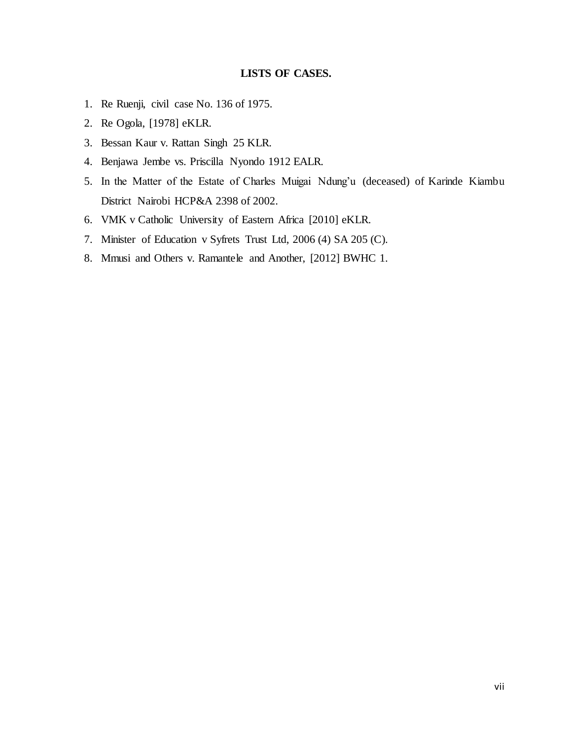# **LISTS OF CASES.**

- <span id="page-7-0"></span>1. Re Ruenji, civil case No. 136 of 1975.
- 2. Re Ogola, [1978] eKLR.
- 3. Bessan Kaur v. Rattan Singh 25 KLR.
- 4. Benjawa Jembe vs. Priscilla Nyondo 1912 EALR.
- 5. In the Matter of the Estate of Charles Muigai Ndung'u (deceased) of Karinde Kiambu District Nairobi HCP&A 2398 of 2002.
- 6. VMK v Catholic University of Eastern Africa [2010] eKLR.
- 7. Minister of Education v Syfrets Trust Ltd, 2006 (4) SA 205 (C).
- 8. Mmusi and Others v. Ramantele and Another, [2012] BWHC 1.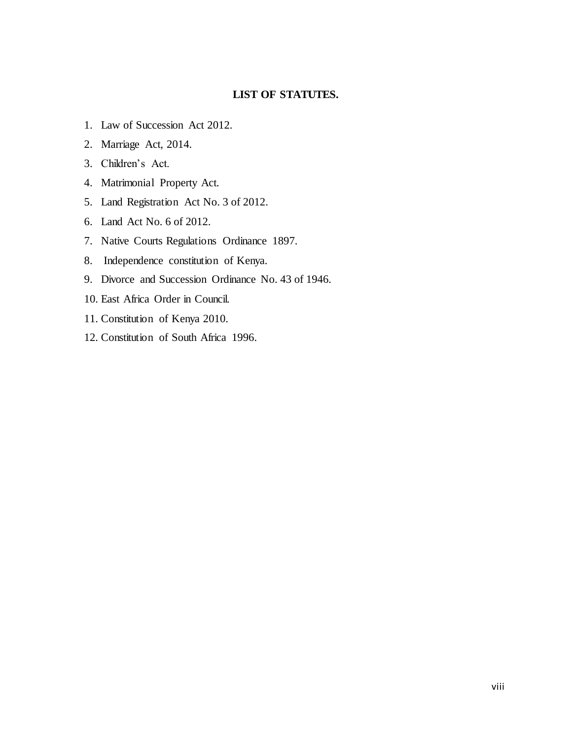# **LIST OF STATUTES.**

- <span id="page-8-0"></span>1. Law of Succession Act 2012.
- 2. Marriage Act, 2014.
- 3. Children's Act.
- 4. Matrimonial Property Act.
- 5. Land Registration Act No. 3 of 2012.
- 6. Land Act No. 6 of 2012.
- 7. Native Courts Regulations Ordinance 1897.
- 8. Independence constitution of Kenya.
- 9. Divorce and Succession Ordinance No. 43 of 1946.
- 10. East Africa Order in Council.
- 11. Constitution of Kenya 2010.
- 12. Constitution of South Africa 1996.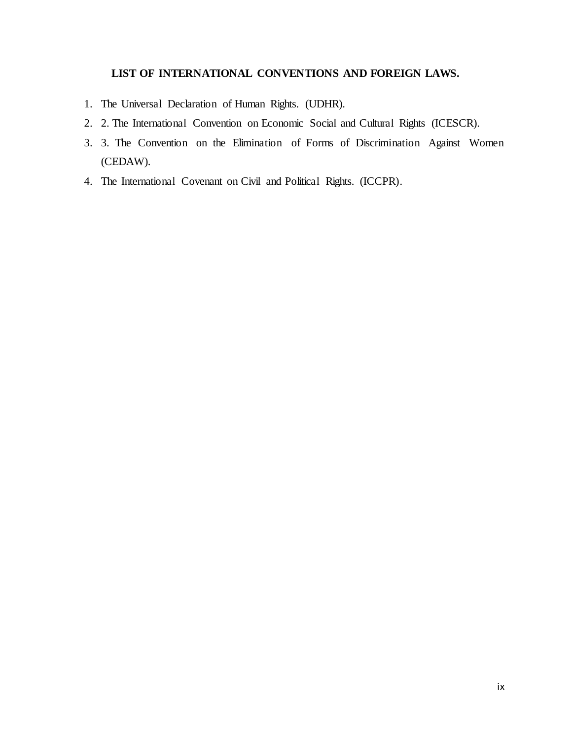# **LIST OF INTERNATIONAL CONVENTIONS AND FOREIGN LAWS.**

- <span id="page-9-0"></span>1. The Universal Declaration of Human Rights. (UDHR).
- 2. 2. The International Convention on Economic Social and Cultural Rights (ICESCR).
- 3. 3. The Convention on the Elimination of Forms of Discrimination Against Women (CEDAW).
- 4. The International Covenant on Civil and Political Rights. (ICCPR).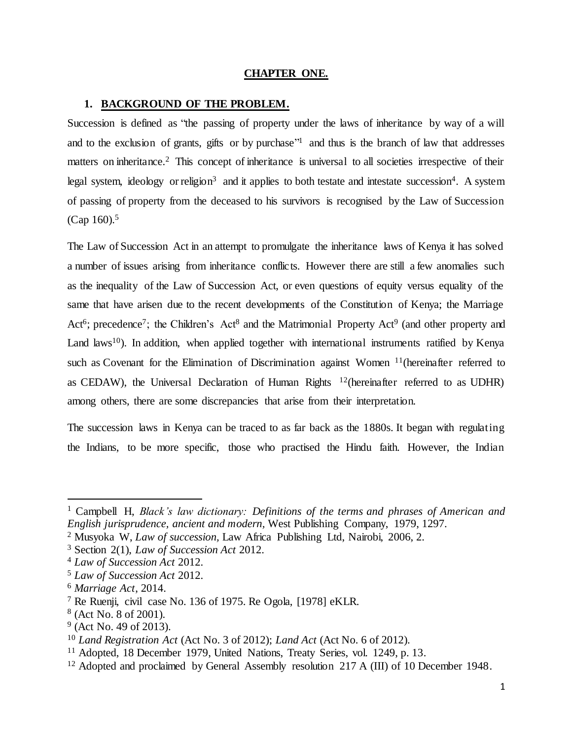## **CHAPTER ONE.**

### <span id="page-10-1"></span><span id="page-10-0"></span>**1. BACKGROUND OF THE PROBLEM.**

Succession is defined as "the passing of property under the laws of inheritance by way of a will and to the exclusion of grants, gifts or by purchase"<sup>1</sup> and thus is the branch of law that addresses matters on inheritance.<sup>2</sup> This concept of inheritance is universal to all societies irrespective of their legal system, ideology or religion<sup>3</sup> and it applies to both testate and intestate succession<sup>4</sup>. A system of passing of property from the deceased to his survivors is recognised by the Law of Succession  $(Cap 160).5$ 

The Law of Succession Act in an attempt to promulgate the inheritance laws of Kenya it has solved a number of issues arising from inheritance conflicts. However there are still a few anomalies such as the inequality of the Law of Succession Act, or even questions of equity versus equality of the same that have arisen due to the recent developments of the Constitution of Kenya; the Marriage Act<sup>6</sup>; precedence<sup>7</sup>; the Children's Act<sup>8</sup> and the Matrimonial Property Act<sup>9</sup> (and other property and Land laws<sup>10</sup>). In addition, when applied together with international instruments ratified by Kenya such as Covenant for the Elimination of Discrimination against Women <sup>11</sup>(hereinafter referred to as CEDAW), the Universal Declaration of Human Rights  $12$  (hereinafter referred to as UDHR) among others, there are some discrepancies that arise from their interpretation.

The succession laws in Kenya can be traced to as far back as the 1880s. It began with regulating the Indians, to be more specific, those who practised the Hindu faith. However, the Indian

<sup>1</sup> Campbell H, *Black's law dictionary: Definitions of the terms and phrases of American and English jurisprudence, ancient and modern,* West Publishing Company, 1979, 1297.

<sup>2</sup> Musyoka W, *Law of succession,* Law Africa Publishing Ltd, Nairobi, 2006, 2.

<sup>3</sup> Section 2(1), *Law of Succession Act* 2012.

<sup>4</sup> *Law of Succession Act* 2012.

<sup>5</sup> *Law of Succession Act* 2012.

<sup>6</sup> *Marriage Act*, 2014.

<sup>7</sup> Re Ruenji, civil case No. 136 of 1975. Re Ogola, [1978] eKLR.

<sup>8</sup> (Act No. 8 of 2001).

<sup>&</sup>lt;sup>9</sup> (Act No. 49 of 2013).

<sup>10</sup> *Land Registration Act* (Act No. 3 of 2012); *Land Act* (Act No. 6 of 2012).

<sup>&</sup>lt;sup>11</sup> Adopted, 18 December 1979, United Nations, Treaty Series, vol. 1249, p. 13.

<sup>&</sup>lt;sup>12</sup> Adopted and proclaimed by General Assembly resolution 217 A (III) of 10 December 1948.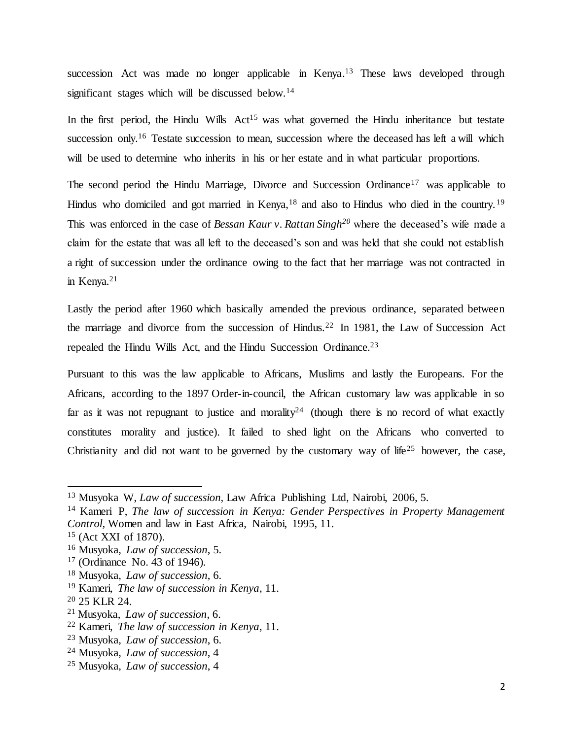succession Act was made no longer applicable in Kenya.<sup>13</sup> These laws developed through significant stages which will be discussed below.<sup>14</sup>

In the first period, the Hindu Wills  $Act^{15}$  was what governed the Hindu inheritance but testate succession only.<sup>16</sup> Testate succession to mean, succession where the deceased has left a will which will be used to determine who inherits in his or her estate and in what particular proportions.

The second period the Hindu Marriage, Divorce and Succession Ordinance<sup>17</sup> was applicable to Hindus who domiciled and got married in Kenya,  $18$  and also to Hindus who died in the country.  $19$ This was enforced in the case of *Bessan Kaur v. Rattan Singh<sup>20</sup>* where the deceased's wife made a claim for the estate that was all left to the deceased's son and was held that she could not establish a right of succession under the ordinance owing to the fact that her marriage was not contracted in in Kenya.<sup>21</sup>

Lastly the period after 1960 which basically amended the previous ordinance, separated between the marriage and divorce from the succession of Hindus.<sup>22</sup> In 1981, the Law of Succession Act repealed the Hindu Wills Act, and the Hindu Succession Ordinance.<sup>23</sup>

Pursuant to this was the law applicable to Africans, Muslims and lastly the Europeans. For the Africans, according to the 1897 Order-in-council, the African customary law was applicable in so far as it was not repugnant to justice and morality<sup>24</sup> (though there is no record of what exactly constitutes morality and justice). It failed to shed light on the Africans who converted to Christianity and did not want to be governed by the customary way of life<sup>25</sup> however, the case,

<sup>13</sup> Musyoka W, *Law of succession,* Law Africa Publishing Ltd, Nairobi, 2006, 5.

<sup>14</sup> Kameri P, *The law of succession in Kenya: Gender Perspectives in Property Management Control,* Women and law in East Africa, Nairobi, 1995, 11.

<sup>15</sup> (Act XXI of 1870).

<sup>16</sup> Musyoka, *Law of succession*, 5.

<sup>17</sup> (Ordinance No. 43 of 1946).

<sup>18</sup> Musyoka, *Law of succession*, 6.

<sup>19</sup> Kameri, *The law of succession in Kenya*, 11.

<sup>20</sup> 25 KLR 24.

<sup>21</sup> Musyoka, *Law of succession*, 6.

<sup>22</sup> Kameri, *The law of succession in Kenya*, 11.

<sup>23</sup> Musyoka, *Law of succession*, 6.

<sup>24</sup> Musyoka, *Law of succession*, 4

<sup>25</sup> Musyoka, *Law of succession*, 4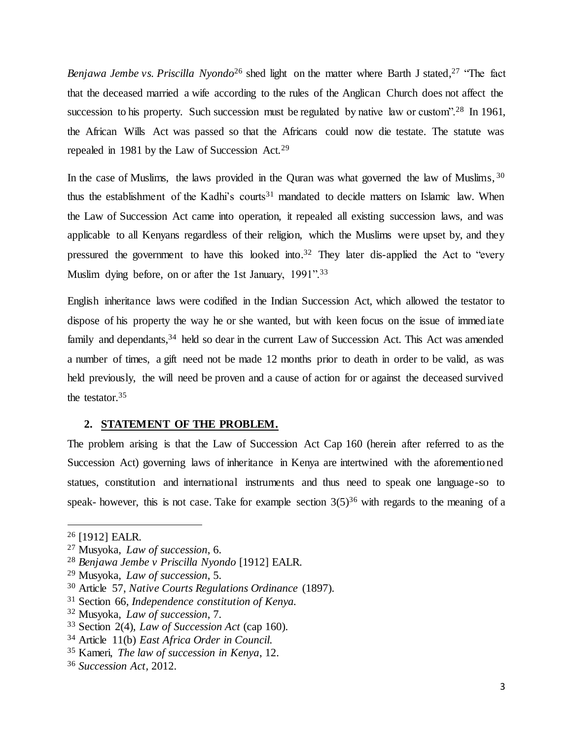*Benjawa Jembe vs. Priscilla Nyondo*<sup>26</sup> shed light on the matter where Barth J stated, <sup>27</sup> "The fact that the deceased married a wife according to the rules of the Anglican Church does not affect the succession to his property. Such succession must be regulated by native law or custom".<sup>28</sup> In 1961, the African Wills Act was passed so that the Africans could now die testate. The statute was repealed in 1981 by the Law of Succession Act.<sup>29</sup>

In the case of Muslims, the laws provided in the Quran was what governed the law of Muslims, 30 thus the establishment of the Kadhi's courts<sup>31</sup> mandated to decide matters on Islamic law. When the Law of Succession Act came into operation, it repealed all existing succession laws, and was applicable to all Kenyans regardless of their religion, which the Muslims were upset by, and they pressured the government to have this looked into.<sup>32</sup> They later dis-applied the Act to "every Muslim dying before, on or after the 1st January, 1991".<sup>33</sup>

English inheritance laws were codified in the Indian Succession Act, which allowed the testator to dispose of his property the way he or she wanted, but with keen focus on the issue of immediate family and dependants,<sup>34</sup> held so dear in the current Law of Succession Act. This Act was amended a number of times, a gift need not be made 12 months prior to death in order to be valid, as was held previously, the will need be proven and a cause of action for or against the deceased survived the testator.<sup>35</sup>

#### <span id="page-12-0"></span>**2. STATEMENT OF THE PROBLEM.**

The problem arising is that the Law of Succession Act Cap 160 (herein after referred to as the Succession Act) governing laws of inheritance in Kenya are intertwined with the aforementioned statues, constitution and international instruments and thus need to speak one language-so to speak- however, this is not case. Take for example section  $3(5)^{36}$  with regards to the meaning of a

<sup>26</sup> [1912] EALR.

<sup>27</sup> Musyoka, *Law of succession*, 6.

<sup>28</sup> *Benjawa Jembe v Priscilla Nyondo* [1912] EALR.

<sup>29</sup> Musyoka, *Law of succession*, 5.

<sup>30</sup> Article 57, *Native Courts Regulations Ordinance* (1897).

<sup>31</sup> Section 66, *Independence constitution of Kenya.*

<sup>32</sup> Musyoka, *Law of succession*, 7.

<sup>33</sup> Section 2(4), *Law of Succession Act* (cap 160).

<sup>34</sup> Article 11(b) *East Africa Order in Council.*

<sup>35</sup> Kameri, *The law of succession in Kenya*, 12.

<sup>36</sup> *Succession Act,* 2012.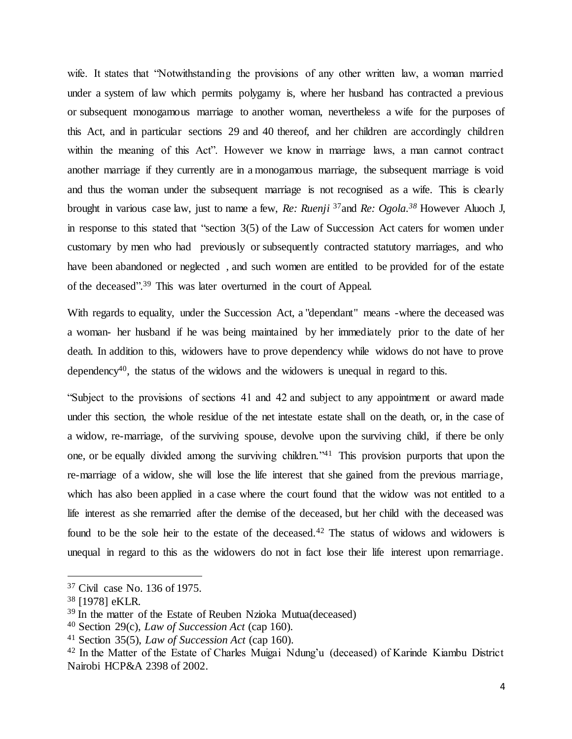wife. It states that "Notwithstanding the provisions of any other written law, a woman married under a system of law which permits polygamy is, where her husband has contracted a previous or subsequent monogamous marriage to another woman, nevertheless a wife for the purposes of this Act, and in particular sections 29 and 40 thereof, and her children are accordingly children within the meaning of this Act". However we know in marriage laws, a man cannot contract another marriage if they currently are in a monogamous marriage, the subsequent marriage is void and thus the woman under the subsequent marriage is not recognised as a wife. This is clearly brought in various case law, just to name a few, *Re: Ruenji* <sup>37</sup>and *Re: Ogola.<sup>38</sup>* However Aluoch J, in response to this stated that "section 3(5) of the Law of Succession Act caters for women under customary by men who had previously or subsequently contracted statutory marriages, and who have been abandoned or neglected, and such women are entitled to be provided for of the estate of the deceased". <sup>39</sup> This was later overturned in the court of Appeal.

With regards to equality, under the Succession Act, a "dependant" means -where the deceased was a woman- her husband if he was being maintained by her immediately prior to the date of her death. In addition to this, widowers have to prove dependency while widows do not have to prove dependency<sup>40</sup>, the status of the widows and the widowers is unequal in regard to this.

"Subject to the provisions of sections 41 and 42 and subject to any appointment or award made under this section, the whole residue of the net intestate estate shall on the death, or, in the case of a widow, re-marriage, of the surviving spouse, devolve upon the surviving child, if there be only one, or be equally divided among the surviving children."<sup>41</sup> This provision purports that upon the re-marriage of a widow, she will lose the life interest that she gained from the previous marriage, which has also been applied in a case where the court found that the widow was not entitled to a life interest as she remarried after the demise of the deceased, but her child with the deceased was found to be the sole heir to the estate of the deceased.<sup>42</sup> The status of widows and widowers is unequal in regard to this as the widowers do not in fact lose their life interest upon remarriage.

<sup>37</sup> Civil case No. 136 of 1975.

<sup>38</sup> [1978] eKLR.

<sup>39</sup> In the matter of the Estate of Reuben Nzioka Mutua(deceased)

<sup>40</sup> Section 29(c), *Law of Succession Act* (cap 160).

<sup>41</sup> Section 35(5), *Law of Succession Act* (cap 160).

<sup>42</sup> In the Matter of the Estate of Charles Muigai Ndung'u (deceased) of Karinde Kiambu District Nairobi HCP&A 2398 of 2002.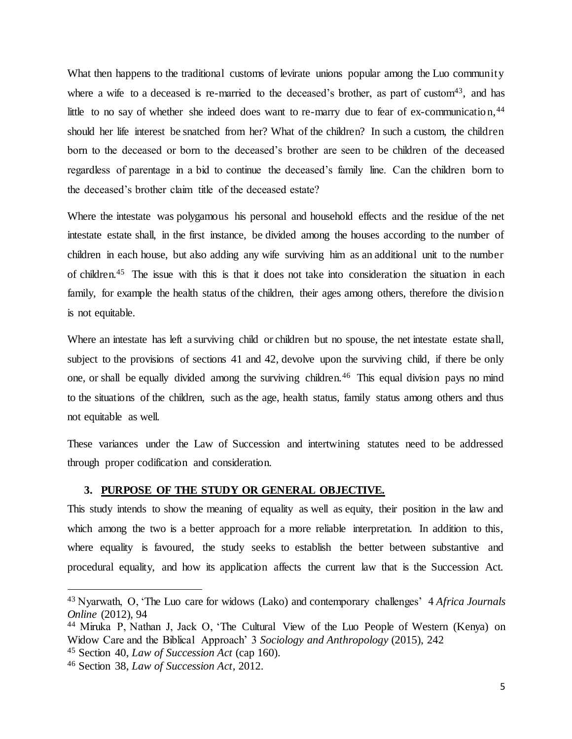What then happens to the traditional customs of levirate unions popular among the Luo community where a wife to a deceased is re-married to the deceased's brother, as part of custom<sup>43</sup>, and has little to no say of whether she indeed does want to re-marry due to fear of ex-communication,<sup>44</sup> should her life interest be snatched from her? What of the children? In such a custom, the children born to the deceased or born to the deceased's brother are seen to be children of the deceased regardless of parentage in a bid to continue the deceased's family line. Can the children born to the deceased's brother claim title of the deceased estate?

Where the intestate was polygamous his personal and household effects and the residue of the net intestate estate shall, in the first instance, be divided among the houses according to the number of children in each house, but also adding any wife surviving him as an additional unit to the number of children.<sup>45</sup> The issue with this is that it does not take into consideration the situation in each family, for example the health status of the children, their ages among others, therefore the division is not equitable.

Where an intestate has left a surviving child or children but no spouse, the net intestate estate shall, subject to the provisions of sections 41 and 42, devolve upon the surviving child, if there be only one, or shall be equally divided among the surviving children.<sup>46</sup> This equal division pays no mind to the situations of the children, such as the age, health status, family status among others and thus not equitable as well.

These variances under the Law of Succession and intertwining statutes need to be addressed through proper codification and consideration.

## <span id="page-14-0"></span>**3. PURPOSE OF THE STUDY OR GENERAL OBJECTIVE.**

This study intends to show the meaning of equality as well as equity, their position in the law and which among the two is a better approach for a more reliable interpretation. In addition to this, where equality is favoured, the study seeks to establish the better between substantive and procedural equality, and how its application affects the current law that is the Succession Act.

<sup>43</sup> Nyarwath, O, 'The Luo care for widows (Lako) and contemporary challenges' 4 *Africa Journals Online* (2012), 94

<sup>44</sup> Miruka P, Nathan J, Jack O, 'The Cultural View of the Luo People of Western (Kenya) on Widow Care and the Biblical Approach' 3 *Sociology and Anthropology* (2015), 242

<sup>45</sup> Section 40, *Law of Succession Act* (cap 160).

<sup>46</sup> Section 38, *Law of Succession Act,* 2012.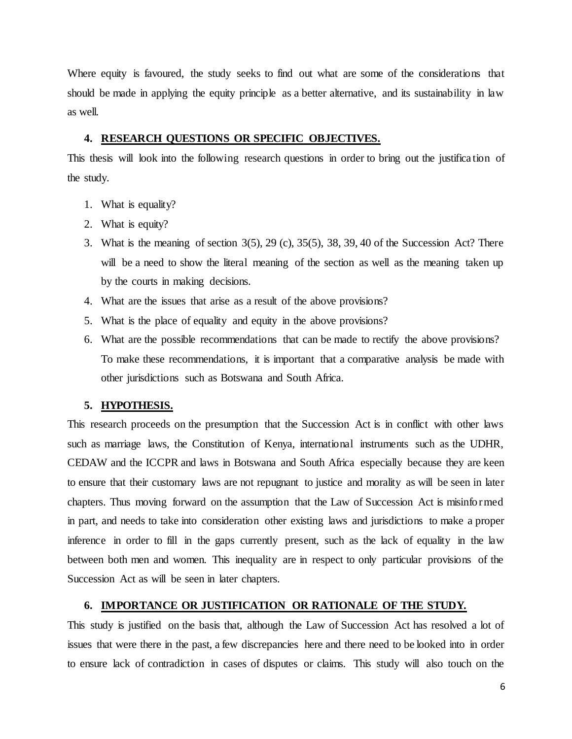Where equity is favoured, the study seeks to find out what are some of the considerations that should be made in applying the equity principle as a better alternative, and its sustainability in law as well.

### <span id="page-15-0"></span>**4. RESEARCH QUESTIONS OR SPECIFIC OBJECTIVES.**

This thesis will look into the following research questions in order to bring out the justifica tion of the study.

- 1. What is equality?
- 2. What is equity?
- 3. What is the meaning of section 3(5), 29 (c), 35(5), 38, 39, 40 of the Succession Act? There will be a need to show the literal meaning of the section as well as the meaning taken up by the courts in making decisions.
- 4. What are the issues that arise as a result of the above provisions?
- 5. What is the place of equality and equity in the above provisions?
- 6. What are the possible recommendations that can be made to rectify the above provisions? To make these recommendations, it is important that a comparative analysis be made with other jurisdictions such as Botswana and South Africa.

### <span id="page-15-1"></span>**5. HYPOTHESIS.**

This research proceeds on the presumption that the Succession Act is in conflict with other laws such as marriage laws, the Constitution of Kenya, international instruments such as the UDHR, CEDAW and the ICCPR and laws in Botswana and South Africa especially because they are keen to ensure that their customary laws are not repugnant to justice and morality as will be seen in later chapters. Thus moving forward on the assumption that the Law of Succession Act is misinformed in part, and needs to take into consideration other existing laws and jurisdictions to make a proper inference in order to fill in the gaps currently present, such as the lack of equality in the law between both men and women. This inequality are in respect to only particular provisions of the Succession Act as will be seen in later chapters.

## <span id="page-15-2"></span>**6. IMPORTANCE OR JUSTIFICATION OR RATIONALE OF THE STUDY.**

This study is justified on the basis that, although the Law of Succession Act has resolved a lot of issues that were there in the past, a few discrepancies here and there need to be looked into in order to ensure lack of contradiction in cases of disputes or claims. This study will also touch on the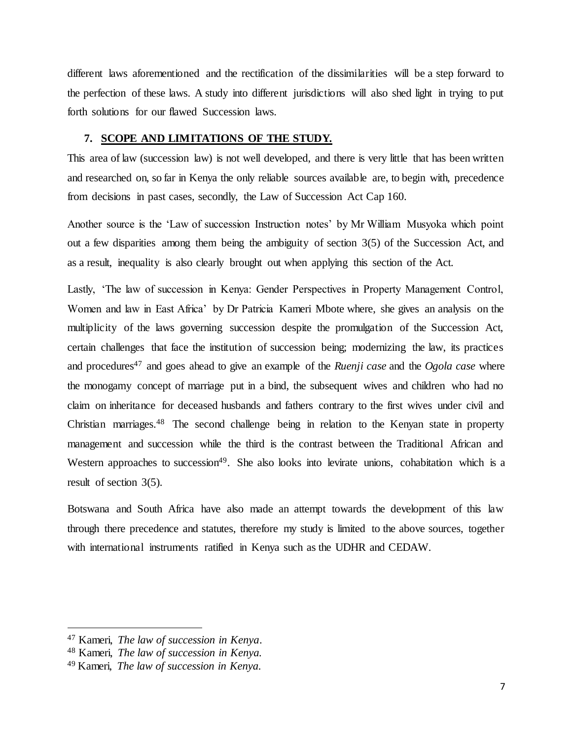different laws aforementioned and the rectification of the dissimilarities will be a step forward to the perfection of these laws. A study into different jurisdictions will also shed light in trying to put forth solutions for our flawed Succession laws.

### <span id="page-16-0"></span>**7. SCOPE AND LIMITATIONS OF THE STUDY.**

This area of law (succession law) is not well developed, and there is very little that has been written and researched on, so far in Kenya the only reliable sources available are, to begin with, precedence from decisions in past cases, secondly, the Law of Succession Act Cap 160.

Another source is the 'Law of succession Instruction notes' by Mr William Musyoka which point out a few disparities among them being the ambiguity of section 3(5) of the Succession Act, and as a result, inequality is also clearly brought out when applying this section of the Act.

Lastly, 'The law of succession in Kenya: Gender Perspectives in Property Management Control, Women and law in East Africa' by Dr Patricia Kameri Mbote where, she gives an analysis on the multiplicity of the laws governing succession despite the promulgation of the Succession Act, certain challenges that face the institution of succession being; modernizing the law, its practices and procedures<sup>47</sup> and goes ahead to give an example of the *Ruenji case* and the *Ogola case* where the monogamy concept of marriage put in a bind, the subsequent wives and children who had no claim on inheritance for deceased husbands and fathers contrary to the first wives under civil and Christian marriages.<sup>48</sup> The second challenge being in relation to the Kenyan state in property management and succession while the third is the contrast between the Traditional African and Western approaches to succession<sup>49</sup>. She also looks into levirate unions, cohabitation which is a result of section 3(5).

Botswana and South Africa have also made an attempt towards the development of this law through there precedence and statutes, therefore my study is limited to the above sources, together with international instruments ratified in Kenya such as the UDHR and CEDAW.

<sup>47</sup> Kameri, *The law of succession in Kenya*.

<sup>48</sup> Kameri, *The law of succession in Kenya.*

<sup>49</sup> Kameri, *The law of succession in Kenya.*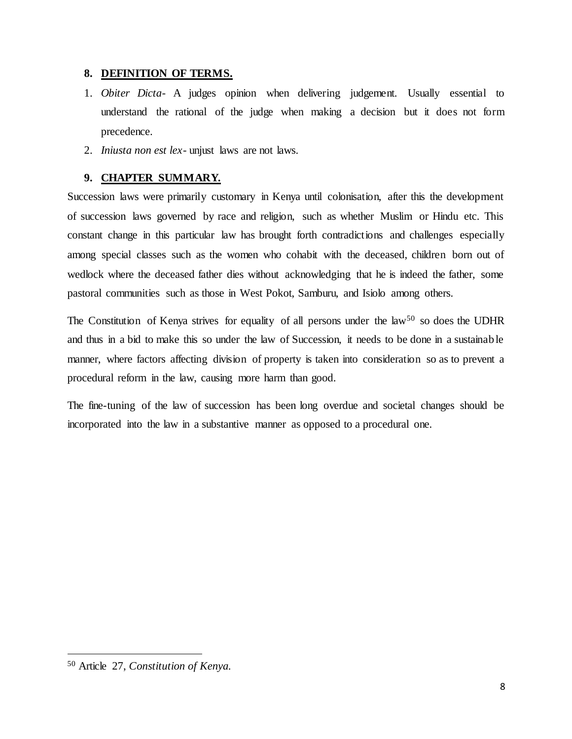# <span id="page-17-0"></span>**8. DEFINITION OF TERMS.**

- 1. *Obiter Dicta-* A judges opinion when delivering judgement. Usually essential to understand the rational of the judge when making a decision but it does not form precedence.
- 2. *Iniusta non est lex-* unjust laws are not laws.

# **9. CHAPTER SUMMARY.**

<span id="page-17-1"></span>Succession laws were primarily customary in Kenya until colonisation, after this the development of succession laws governed by race and religion, such as whether Muslim or Hindu etc. This constant change in this particular law has brought forth contradictions and challenges especially among special classes such as the women who cohabit with the deceased, children born out of wedlock where the deceased father dies without acknowledging that he is indeed the father, some pastoral communities such as those in West Pokot, Samburu, and Isiolo among others.

The Constitution of Kenya strives for equality of all persons under the law<sup>50</sup> so does the UDHR and thus in a bid to make this so under the law of Succession, it needs to be done in a sustainable manner, where factors affecting division of property is taken into consideration so as to prevent a procedural reform in the law, causing more harm than good.

The fine-tuning of the law of succession has been long overdue and societal changes should be incorporated into the law in a substantive manner as opposed to a procedural one.

<sup>50</sup> Article 27, *Constitution of Kenya.*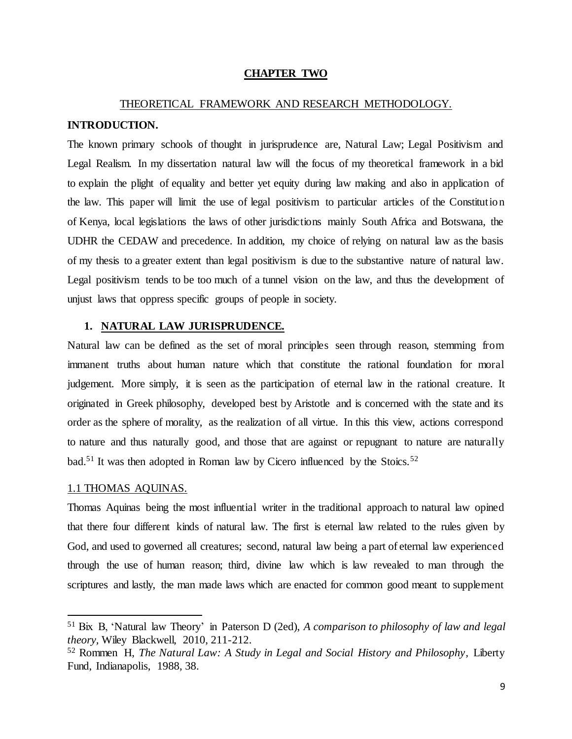### **CHAPTER TWO**

# <span id="page-18-0"></span>THEORETICAL FRAMEWORK AND RESEARCH METHODOLOGY.

# <span id="page-18-2"></span><span id="page-18-1"></span>**INTRODUCTION.**

The known primary schools of thought in jurisprudence are, Natural Law; Legal Positivism and Legal Realism. In my dissertation natural law will the focus of my theoretical framework in a bid to explain the plight of equality and better yet equity during law making and also in application of the law. This paper will limit the use of legal positivism to particular articles of the Constitution of Kenya, local legislations the laws of other jurisdictions mainly South Africa and Botswana, the UDHR the CEDAW and precedence. In addition, my choice of relying on natural law as the basis of my thesis to a greater extent than legal positivism is due to the substantive nature of natural law. Legal positivism tends to be too much of a tunnel vision on the law, and thus the development of unjust laws that oppress specific groups of people in society.

# <span id="page-18-3"></span>**1. NATURAL LAW JURISPRUDENCE.**

Natural law can be defined as the set of moral principles seen through reason, stemming from immanent truths about human nature which that constitute the rational foundation for moral judgement. More simply, it is seen as the participation of eternal law in the rational creature. It originated in Greek philosophy, developed best by Aristotle and is concerned with the state and its order as the sphere of morality, as the realization of all virtue. In this this view, actions correspond to nature and thus naturally good, and those that are against or repugnant to nature are naturally bad.<sup>51</sup> It was then adopted in Roman law by Cicero influenced by the Stoics.<sup>52</sup>

### <span id="page-18-4"></span>1.1 THOMAS AQUINAS.

 $\ddot{\phantom{a}}$ 

Thomas Aquinas being the most influential writer in the traditional approach to natural law opined that there four different kinds of natural law. The first is eternal law related to the rules given by God, and used to governed all creatures; second, natural law being a part of eternal law experienced through the use of human reason; third, divine law which is law revealed to man through the scriptures and lastly, the man made laws which are enacted for common good meant to supplement

<sup>51</sup> Bix B, 'Natural law Theory' in Paterson D (2ed), *A comparison to philosophy of law and legal theory,* Wiley Blackwell, 2010, 211-212.

<sup>52</sup> Rommen H, *The Natural Law: A Study in Legal and Social History and Philosophy,* Liberty Fund, Indianapolis, 1988, 38.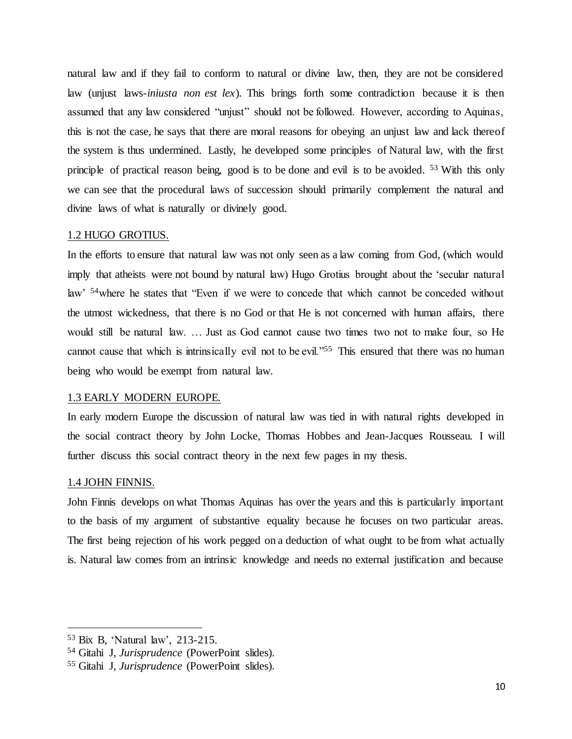natural law and if they fail to conform to natural or divine law, then, they are not be considered law (unjust laws-*iniusta non est lex*). This brings forth some contradiction because it is then assumed that any law considered "unjust" should not be followed. However, according to Aquinas, this is not the case, he says that there are moral reasons for obeying an unjust law and lack thereof the system is thus undermined. Lastly, he developed some principles of Natural law, with the first principle of practical reason being, good is to be done and evil is to be avoided. <sup>53</sup> With this only we can see that the procedural laws of succession should primarily complement the natural and divine laws of what is naturally or divinely good.

### <span id="page-19-0"></span>1.2 HUGO GROTIUS.

In the efforts to ensure that natural law was not only seen as a law coming from God, (which would imply that atheists were not bound by natural law) Hugo Grotius brought about the 'secular natural law' <sup>54</sup>where he states that "Even if we were to concede that which cannot be conceded without the utmost wickedness, that there is no God or that He is not concerned with human affairs, there would still be natural law. … Just as God cannot cause two times two not to make four, so He cannot cause that which is intrinsically evil not to be evil."<sup>55</sup> This ensured that there was no human being who would be exempt from natural law.

# <span id="page-19-1"></span>1.3 EARLY MODERN EUROPE.

In early modern Europe the discussion of natural law was tied in with natural rights developed in the social contract theory by John Locke, Thomas Hobbes and Jean-Jacques Rousseau. I will further discuss this social contract theory in the next few pages in my thesis.

### <span id="page-19-2"></span>1.4 JOHN FINNIS.

 $\ddot{\phantom{a}}$ 

John Finnis develops on what Thomas Aquinas has over the years and this is particularly important to the basis of my argument of substantive equality because he focuses on two particular areas. The first being rejection of his work pegged on a deduction of what ought to be from what actually is. Natural law comes from an intrinsic knowledge and needs no external justification and because

<sup>53</sup> Bix B, 'Natural law', 213-215.

<sup>54</sup> Gitahi J, *Jurisprudence* (PowerPoint slides).

<sup>55</sup> Gitahi J, *Jurisprudence* (PowerPoint slides).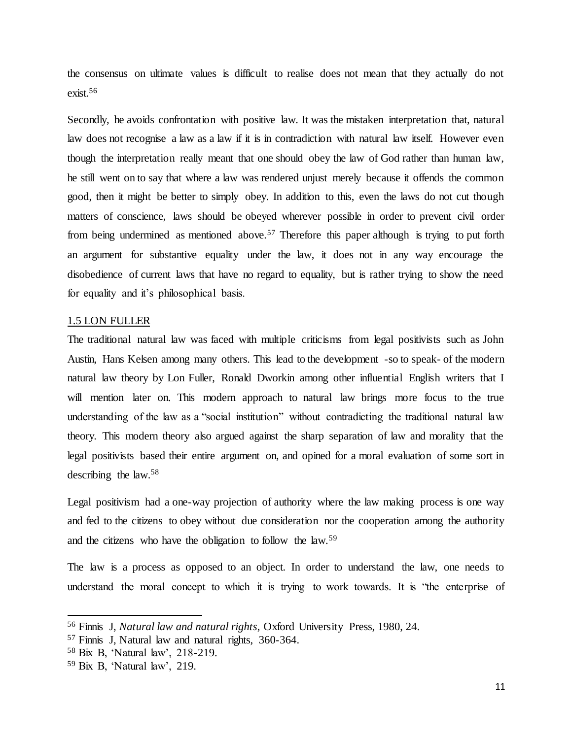the consensus on ultimate values is difficult to realise does not mean that they actually do not exist.<sup>56</sup>

Secondly, he avoids confrontation with positive law. It was the mistaken interpretation that, natural law does not recognise a law as a law if it is in contradiction with natural law itself. However even though the interpretation really meant that one should obey the law of God rather than human law, he still went on to say that where a law was rendered unjust merely because it offends the common good, then it might be better to simply obey. In addition to this, even the laws do not cut though matters of conscience, laws should be obeyed wherever possible in order to prevent civil order from being undermined as mentioned above.<sup>57</sup> Therefore this paper although is trying to put forth an argument for substantive equality under the law, it does not in any way encourage the disobedience of current laws that have no regard to equality, but is rather trying to show the need for equality and it's philosophical basis.

#### <span id="page-20-0"></span>1.5 LON FULLER

The traditional natural law was faced with multiple criticisms from legal positivists such as John Austin, Hans Kelsen among many others. This lead to the development -so to speak- of the modern natural law theory by Lon Fuller, Ronald Dworkin among other influential English writers that I will mention later on. This modern approach to natural law brings more focus to the true understanding of the law as a "social institution" without contradicting the traditional natural law theory. This modern theory also argued against the sharp separation of law and morality that the legal positivists based their entire argument on, and opined for a moral evaluation of some sort in describing the law.<sup>58</sup>

Legal positivism had a one-way projection of authority where the law making process is one way and fed to the citizens to obey without due consideration nor the cooperation among the authority and the citizens who have the obligation to follow the law.<sup>59</sup>

The law is a process as opposed to an object. In order to understand the law, one needs to understand the moral concept to which it is trying to work towards. It is "the enterprise of

<sup>56</sup> Finnis J, *Natural law and natural rights*, Oxford University Press, 1980, 24.

<sup>57</sup> Finnis J, Natural law and natural rights, 360-364.

<sup>58</sup> Bix B, 'Natural law', 218-219.

<sup>59</sup> Bix B, 'Natural law', 219.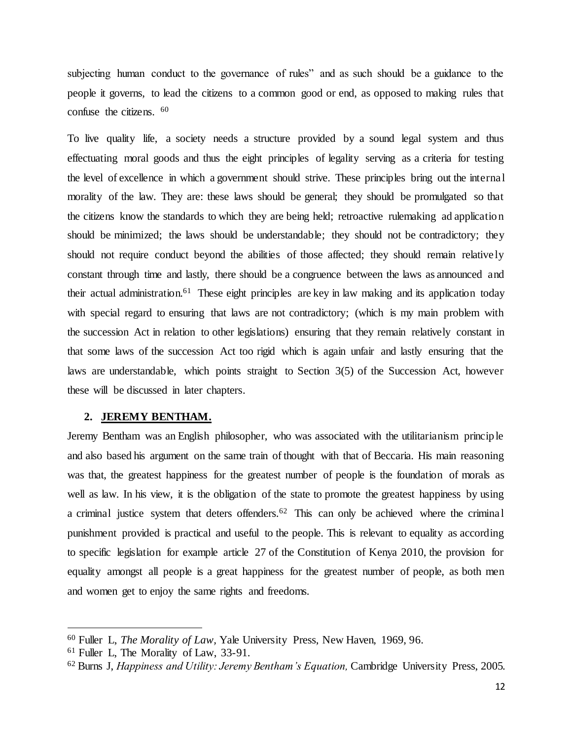subjecting human conduct to the governance of rules" and as such should be a guidance to the people it governs, to lead the citizens to a common good or end, as opposed to making rules that confuse the citizens. <sup>60</sup>

To live quality life, a society needs a structure provided by a sound legal system and thus effectuating moral goods and thus the eight principles of legality serving as a criteria for testing the level of excellence in which a government should strive. These principles bring out the internal morality of the law. They are: these laws should be general; they should be promulgated so that the citizens know the standards to which they are being held; retroactive rulemaking ad application should be minimized; the laws should be understandable; they should not be contradictory; they should not require conduct beyond the abilities of those affected; they should remain relatively constant through time and lastly, there should be a congruence between the laws as announced and their actual administration.<sup>61</sup> These eight principles are key in law making and its application today with special regard to ensuring that laws are not contradictory; (which is my main problem with the succession Act in relation to other legislations) ensuring that they remain relatively constant in that some laws of the succession Act too rigid which is again unfair and lastly ensuring that the laws are understandable, which points straight to Section 3(5) of the Succession Act, however these will be discussed in later chapters.

### <span id="page-21-0"></span>**2. JEREMY BENTHAM.**

Jeremy Bentham was an English philosopher, who was associated with the utilitarianism principle and also based his argument on the same train of thought with that of Beccaria. His main reasoning was that, the greatest happiness for the greatest number of people is the foundation of morals as well as law. In his view, it is the obligation of the state to promote the greatest happiness by using a criminal justice system that deters offenders.<sup>62</sup> This can only be achieved where the criminal punishment provided is practical and useful to the people. This is relevant to equality as according to specific legislation for example article 27 of the Constitution of Kenya 2010, the provision for equality amongst all people is a great happiness for the greatest number of people, as both men and women get to enjoy the same rights and freedoms.

<sup>60</sup> Fuller L, *The Morality of Law,* Yale University Press, New Haven, 1969, 96.

<sup>61</sup> Fuller L, The Morality of Law, 33-91.

<sup>62</sup> Burns J, *Happiness and Utility: Jeremy Bentham's Equation,* Cambridge University Press, 2005.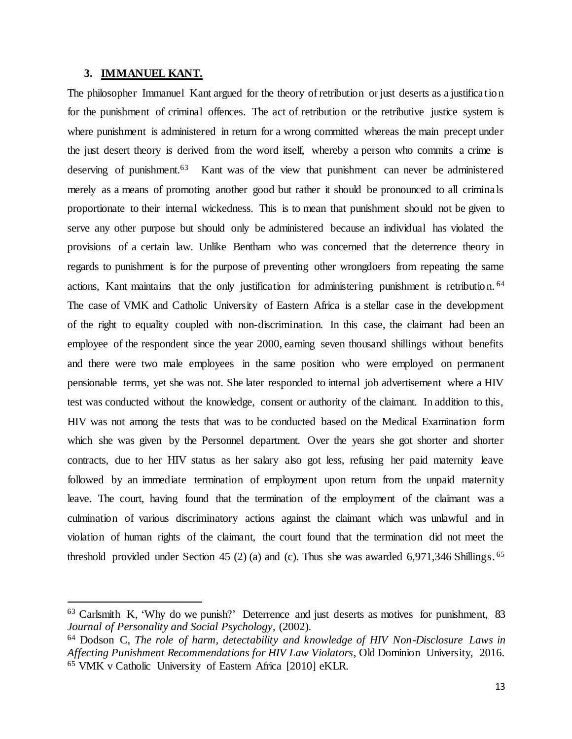#### <span id="page-22-0"></span>**3. IMMANUEL KANT.**

 $\ddot{\phantom{a}}$ 

The philosopher Immanuel Kant argued for the theory of retribution or just deserts as a justification for the punishment of criminal offences. The act of retribution or the retributive justice system is where punishment is administered in return for a wrong committed whereas the main precept under the just desert theory is derived from the word itself, whereby a person who commits a crime is deserving of punishment.<sup>63</sup> Kant was of the view that punishment can never be administered merely as a means of promoting another good but rather it should be pronounced to all criminals proportionate to their internal wickedness. This is to mean that punishment should not be given to serve any other purpose but should only be administered because an individual has violated the provisions of a certain law. Unlike Bentham who was concerned that the deterrence theory in regards to punishment is for the purpose of preventing other wrongdoers from repeating the same actions, Kant maintains that the only justification for administering punishment is retribution. <sup>64</sup> The case of VMK and Catholic University of Eastern Africa is a stellar case in the development of the right to equality coupled with non-discrimination. In this case, the claimant had been an employee of the respondent since the year 2000, earning seven thousand shillings without benefits and there were two male employees in the same position who were employed on permanent pensionable terms, yet she was not. She later responded to internal job advertisement where a HIV test was conducted without the knowledge, consent or authority of the claimant. In addition to this, HIV was not among the tests that was to be conducted based on the Medical Examination form which she was given by the Personnel department. Over the years she got shorter and shorter contracts, due to her HIV status as her salary also got less, refusing her paid maternity leave followed by an immediate termination of employment upon return from the unpaid maternity leave. The court, having found that the termination of the employment of the claimant was a culmination of various discriminatory actions against the claimant which was unlawful and in violation of human rights of the claimant, the court found that the termination did not meet the threshold provided under Section 45 (2) (a) and (c). Thus she was awarded 6,971,346 Shillings. <sup>65</sup>

<sup>&</sup>lt;sup>63</sup> Carlsmith K, 'Why do we punish?' Deterrence and just deserts as motives for punishment, 83 *Journal of Personality and Social Psychology*, (2002).

<sup>64</sup> Dodson C, *The role of harm, detectability and knowledge of HIV Non-Disclosure Laws in Affecting Punishment Recommendations for HIV Law Violators*, Old Dominion University, 2016. <sup>65</sup> VMK v Catholic University of Eastern Africa [2010] eKLR.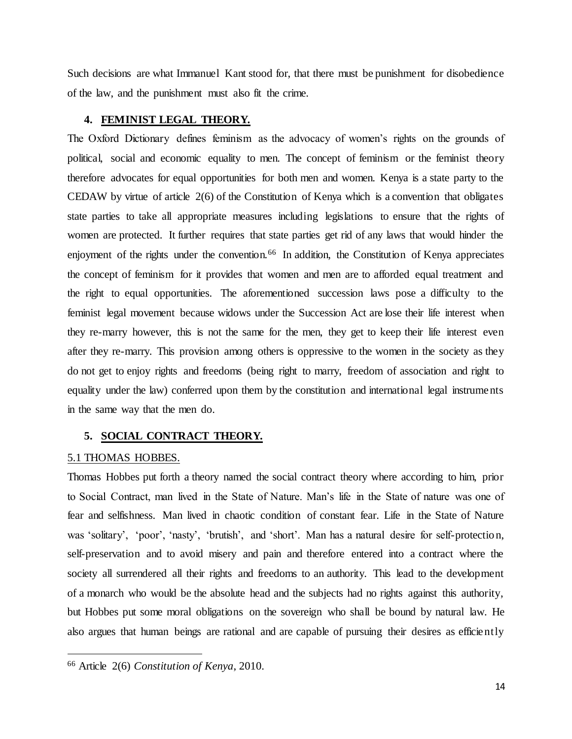Such decisions are what Immanuel Kant stood for, that there must be punishment for disobedience of the law, and the punishment must also fit the crime.

# <span id="page-23-0"></span>**4. FEMINIST LEGAL THEORY.**

The Oxford Dictionary defines feminism as the advocacy of women's rights on the grounds of political, social and economic equality to men. The concept of feminism or the feminist theory therefore advocates for equal opportunities for both men and women. Kenya is a state party to the CEDAW by virtue of article 2(6) of the Constitution of Kenya which is a convention that obligates state parties to take all appropriate measures including legislations to ensure that the rights of women are protected. It further requires that state parties get rid of any laws that would hinder the enjoyment of the rights under the convention.<sup>66</sup> In addition, the Constitution of Kenya appreciates the concept of feminism for it provides that women and men are to afforded equal treatment and the right to equal opportunities. The aforementioned succession laws pose a difficulty to the feminist legal movement because widows under the Succession Act are lose their life interest when they re-marry however, this is not the same for the men, they get to keep their life interest even after they re-marry. This provision among others is oppressive to the women in the society as they do not get to enjoy rights and freedoms (being right to marry, freedom of association and right to equality under the law) conferred upon them by the constitution and international legal instruments in the same way that the men do.

# <span id="page-23-1"></span>**5. SOCIAL CONTRACT THEORY.**

## <span id="page-23-2"></span>5.1 THOMAS HOBBES.

 $\ddot{\phantom{a}}$ 

Thomas Hobbes put forth a theory named the social contract theory where according to him, prior to Social Contract, man lived in the State of Nature. Man's life in the State of nature was one of fear and selfishness. Man lived in chaotic condition of constant fear. Life in the State of Nature was 'solitary', 'poor', 'nasty', 'brutish', and 'short'. Man has a natural desire for self-protection, self-preservation and to avoid misery and pain and therefore entered into a contract where the society all surrendered all their rights and freedoms to an authority. This lead to the development of a monarch who would be the absolute head and the subjects had no rights against this authority, but Hobbes put some moral obligations on the sovereign who shall be bound by natural law. He also argues that human beings are rational and are capable of pursuing their desires as efficiently

<sup>66</sup> Article 2(6) *Constitution of Kenya*, 2010.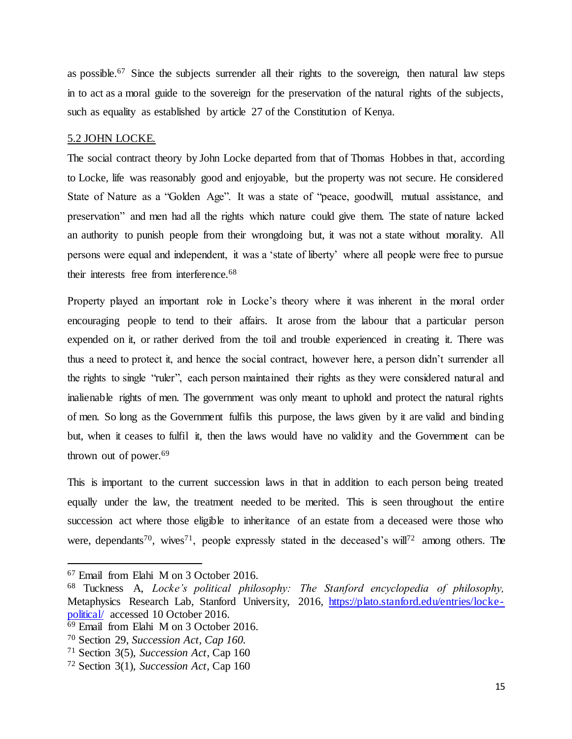as possible.<sup>67</sup> Since the subjects surrender all their rights to the sovereign, then natural law steps in to act as a moral guide to the sovereign for the preservation of the natural rights of the subjects, such as equality as established by article 27 of the Constitution of Kenya.

### <span id="page-24-0"></span>5.2 JOHN LOCKE.

The social contract theory by John Locke departed from that of Thomas Hobbes in that, according to Locke, life was reasonably good and enjoyable, but the property was not secure. He considered State of Nature as a "Golden Age". It was a state of "peace, goodwill, mutual assistance, and preservation" and men had all the rights which nature could give them. The state of nature lacked an authority to punish people from their wrongdoing but, it was not a state without morality. All persons were equal and independent, it was a 'state of liberty' where all people were free to pursue their interests free from interference.<sup>68</sup>

Property played an important role in Locke's theory where it was inherent in the moral order encouraging people to tend to their affairs. It arose from the labour that a particular person expended on it, or rather derived from the toil and trouble experienced in creating it. There was thus a need to protect it, and hence the social contract, however here, a person didn't surrender all the rights to single "ruler", each person maintained their rights as they were considered natural and inalienable rights of men. The government was only meant to uphold and protect the natural rights of men. So long as the Government fulfils this purpose, the laws given by it are valid and binding but, when it ceases to fulfil it, then the laws would have no validity and the Government can be thrown out of power.<sup>69</sup>

This is important to the current succession laws in that in addition to each person being treated equally under the law, the treatment needed to be merited. This is seen throughout the entire succession act where those eligible to inheritance of an estate from a deceased were those who were, dependants<sup>70</sup>, wives<sup>71</sup>, people expressly stated in the deceased's will<sup>72</sup> among others. The

<sup>67</sup> Email from Elahi M on 3 October 2016.

<sup>68</sup> Tuckness A, *Locke's political philosophy: The Stanford encyclopedia of philosophy,*  Metaphysics Research Lab, Stanford University, 2016, [https://plato.stanford.edu/entries/locke](https://plato.stanford.edu/entries/locke-political/)[political/](https://plato.stanford.edu/entries/locke-political/) accessed 10 October 2016.

<sup>69</sup> Email from Elahi M on 3 October 2016.

<sup>70</sup> Section 29, *Succession Act, Cap 160.*

<sup>71</sup> Section 3(5), *Succession Act*, Cap 160

<sup>72</sup> Section 3(1), *Succession Act,* Cap 160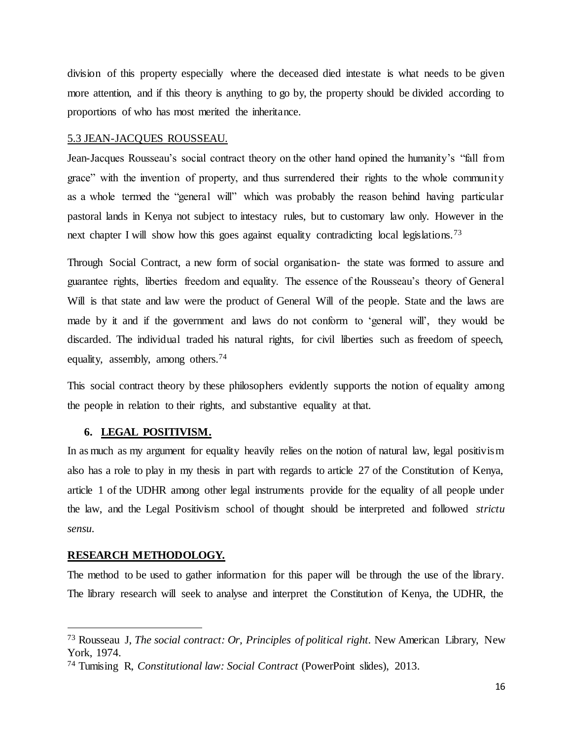division of this property especially where the deceased died intestate is what needs to be given more attention, and if this theory is anything to go by, the property should be divided according to proportions of who has most merited the inheritance.

### <span id="page-25-0"></span>5.3 JEAN-JACQUES ROUSSEAU.

Jean-Jacques Rousseau's social contract theory on the other hand opined the humanity's "fall from grace" with the invention of property, and thus surrendered their rights to the whole community as a whole termed the "general will" which was probably the reason behind having particular pastoral lands in Kenya not subject to intestacy rules, but to customary law only. However in the next chapter I will show how this goes against equality contradicting local legislations.<sup>73</sup>

Through Social Contract, a new form of social organisation- the state was formed to assure and guarantee rights, liberties freedom and equality. The essence of the Rousseau's theory of General Will is that state and law were the product of General Will of the people. State and the laws are made by it and if the government and laws do not conform to 'general will', they would be discarded. The individual traded his natural rights, for civil liberties such as freedom of speech, equality, assembly, among others.<sup>74</sup>

This social contract theory by these philosophers evidently supports the notion of equality among the people in relation to their rights, and substantive equality at that.

### <span id="page-25-1"></span>**6. LEGAL POSITIVISM.**

In as much as my argument for equality heavily relies on the notion of natural law, legal positivism also has a role to play in my thesis in part with regards to article 27 of the Constitution of Kenya, article 1 of the UDHR among other legal instruments provide for the equality of all people under the law, and the Legal Positivism school of thought should be interpreted and followed *strictu sensu.*

#### <span id="page-25-2"></span>**RESEARCH METHODOLOGY.**

 $\ddot{\phantom{a}}$ 

The method to be used to gather information for this paper will be through the use of the library. The library research will seek to analyse and interpret the Constitution of Kenya, the UDHR, the

<sup>73</sup> Rousseau J, *The social contract: Or, Principles of political right.* New American Library, New York, 1974.

<sup>74</sup> Tumising R, *Constitutional law: Social Contract* (PowerPoint slides), 2013.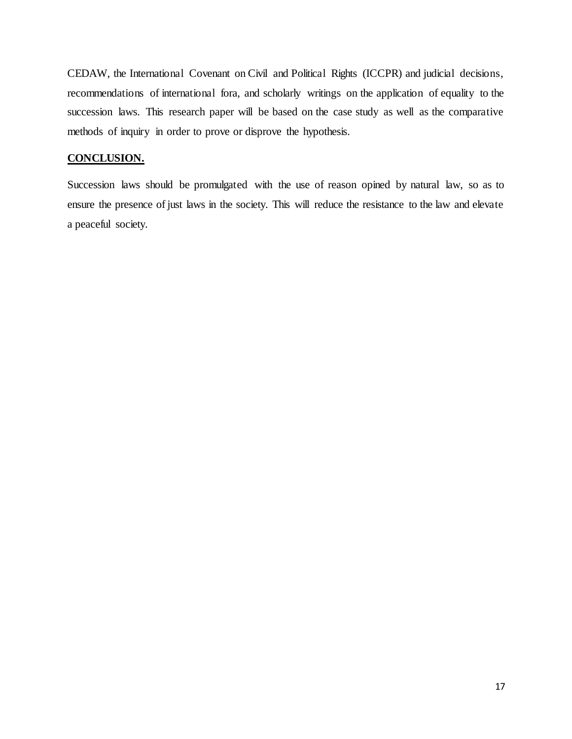CEDAW, the International Covenant on Civil and Political Rights (ICCPR) and judicial decisions, recommendations of international fora, and scholarly writings on the application of equality to the succession laws. This research paper will be based on the case study as well as the comparative methods of inquiry in order to prove or disprove the hypothesis.

# **CONCLUSION.**

Succession laws should be promulgated with the use of reason opined by natural law, so as to ensure the presence of just laws in the society. This will reduce the resistance to the law and elevate a peaceful society.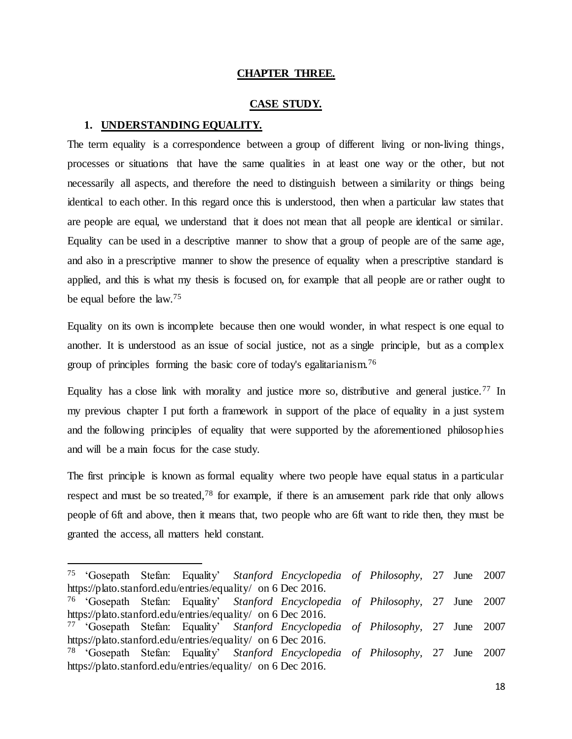# **CHAPTER THREE.**

### **CASE STUDY.**

# <span id="page-27-2"></span><span id="page-27-1"></span><span id="page-27-0"></span>**1. UNDERSTANDING EQUALITY.**

 $\ddot{\phantom{a}}$ 

The term equality is a correspondence between a group of different living or non-living things, processes or situations that have the same qualities in at least one way or the other, but not necessarily all aspects, and therefore the need to distinguish between a similarity or things being identical to each other. In this regard once this is understood, then when a particular law states that are people are equal, we understand that it does not mean that all people are identical or similar. Equality can be used in a descriptive manner to show that a group of people are of the same age, and also in a prescriptive manner to show the presence of equality when a prescriptive standard is applied, and this is what my thesis is focused on, for example that all people are or rather ought to be equal before the law.<sup>75</sup>

Equality on its own is incomplete because then one would wonder, in what respect is one equal to another. It is understood as an issue of social justice, not as a single principle, but as a complex group of principles forming the basic core of today's egalitarianism.<sup>76</sup>

Equality has a close link with morality and justice more so, distributive and general justice.<sup>77</sup> In my previous chapter I put forth a framework in support of the place of equality in a just system and the following principles of equality that were supported by the aforementioned philosophies and will be a main focus for the case study.

The first principle is known as formal equality where two people have equal status in a particular respect and must be so treated,<sup>78</sup> for example, if there is an amusement park ride that only allows people of 6ft and above, then it means that, two people who are 6ft want to ride then, they must be granted the access, all matters held constant.

<sup>75</sup> 'Gosepath Stefan: Equality' *Stanford Encyclopedia of Philosophy,* 27 June 2007 https://plato.stanford.edu/entries/equality/ on 6 Dec 2016.

<sup>76</sup> 'Gosepath Stefan: Equality' *Stanford Encyclopedia of Philosophy,* 27 June 2007 https://plato.stanford.edu/entries/equality/ on 6 Dec 2016.

<sup>77</sup> 'Gosepath Stefan: Equality' *Stanford Encyclopedia of Philosophy,* 27 June 2007 https://plato.stanford.edu/entries/equality/ on 6 Dec 2016.

<sup>78</sup> 'Gosepath Stefan: Equality' *Stanford Encyclopedia of Philosophy,* 27 June 2007 https://plato.stanford.edu/entries/equality/ on 6 Dec 2016.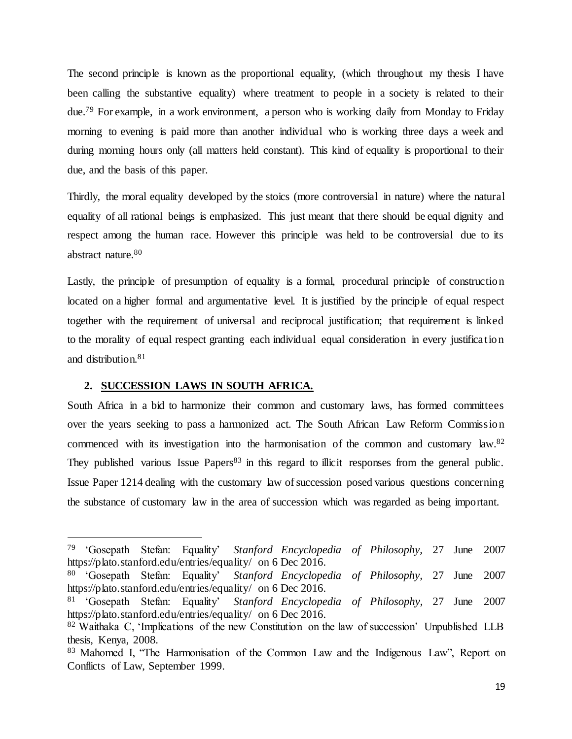The second principle is known as the proportional equality, (which throughout my thesis I have been calling the substantive equality) where treatment to people in a society is related to their due.<sup>79</sup> For example, in a work environment, a person who is working daily from Monday to Friday morning to evening is paid more than another individual who is working three days a week and during morning hours only (all matters held constant). This kind of equality is proportional to their due, and the basis of this paper.

Thirdly, the moral equality developed by the stoics (more controversial in nature) where the natural equality of all rational beings is emphasized. This just meant that there should be equal dignity and respect among the human race. However this principle was held to be controversial due to its abstract nature.<sup>80</sup>

Lastly, the principle of presumption of equality is a formal, procedural principle of construction located on a higher formal and argumentative level. It is justified by the principle of equal respect together with the requirement of universal and reciprocal justification; that requirement is linked to the morality of equal respect granting each individual equal consideration in every justification and distribution.<sup>81</sup>

## <span id="page-28-0"></span>**2. SUCCESSION LAWS IN SOUTH AFRICA.**

 $\ddot{\phantom{a}}$ 

South Africa in a bid to harmonize their common and customary laws, has formed committees over the years seeking to pass a harmonized act. The South African Law Reform Commission commenced with its investigation into the harmonisation of the common and customary law.<sup>82</sup> They published various Issue Papers<sup>83</sup> in this regard to illicit responses from the general public. Issue Paper 1214 dealing with the customary law of succession posed various questions concerning the substance of customary law in the area of succession which was regarded as being important.

<sup>79</sup> 'Gosepath Stefan: Equality' *Stanford Encyclopedia of Philosophy,* 27 June 2007 https://plato.stanford.edu/entries/equality/ on 6 Dec 2016.

<sup>80</sup> 'Gosepath Stefan: Equality' *Stanford Encyclopedia of Philosophy,* 27 June 2007 https://plato.stanford.edu/entries/equality/ on 6 Dec 2016.

<sup>81</sup> 'Gosepath Stefan: Equality' *Stanford Encyclopedia of Philosophy,* 27 June 2007 https://plato.stanford.edu/entries/equality/ on 6 Dec 2016.

<sup>82</sup> Waithaka C, 'Implications of the new Constitution on the law of succession' Unpublished LLB thesis, Kenya, 2008.

<sup>83</sup> Mahomed I, "The Harmonisation of the Common Law and the Indigenous Law", Report on Conflicts of Law, September 1999.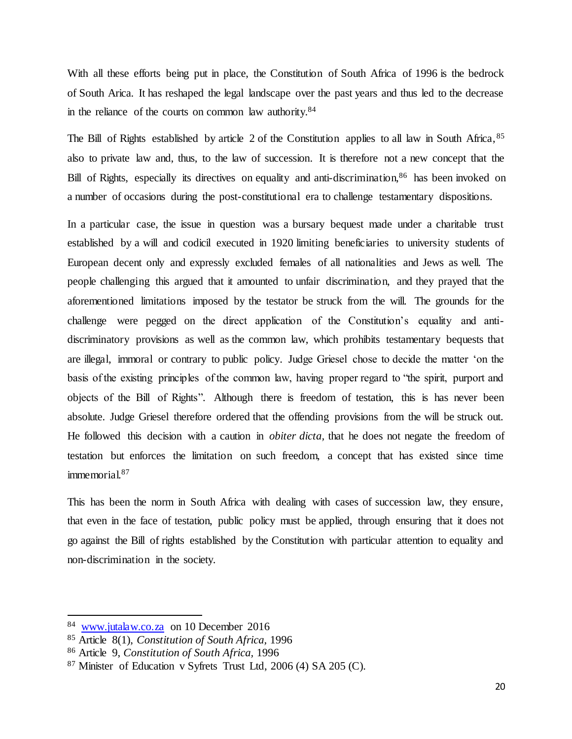With all these efforts being put in place, the Constitution of South Africa of 1996 is the bedrock of South Arica. It has reshaped the legal landscape over the past years and thus led to the decrease in the reliance of the courts on common law authority.<sup>84</sup>

The Bill of Rights established by article 2 of the Constitution applies to all law in South Africa, <sup>85</sup> also to private law and, thus, to the law of succession. It is therefore not a new concept that the Bill of Rights, especially its directives on equality and anti-discrimination,<sup>86</sup> has been invoked on a number of occasions during the post-constitutional era to challenge testamentary dispositions.

In a particular case, the issue in question was a bursary bequest made under a charitable trust established by a will and codicil executed in 1920 limiting beneficiaries to university students of European decent only and expressly excluded females of all nationalities and Jews as well. The people challenging this argued that it amounted to unfair discrimination, and they prayed that the aforementioned limitations imposed by the testator be struck from the will. The grounds for the challenge were pegged on the direct application of the Constitution's equality and antidiscriminatory provisions as well as the common law, which prohibits testamentary bequests that are illegal, immoral or contrary to public policy. Judge Griesel chose to decide the matter 'on the basis of the existing principles of the common law, having proper regard to "the spirit, purport and objects of the Bill of Rights". Although there is freedom of testation, this is has never been absolute. Judge Griesel therefore ordered that the offending provisions from the will be struck out. He followed this decision with a caution in *obiter dicta,* that he does not negate the freedom of testation but enforces the limitation on such freedom, a concept that has existed since time immemorial.<sup>87</sup>

This has been the norm in South Africa with dealing with cases of succession law, they ensure, that even in the face of testation, public policy must be applied, through ensuring that it does not go against the Bill of rights established by the Constitution with particular attention to equality and non-discrimination in the society.

<sup>84</sup> [www.jutalaw.co.za](http://www.jutalaw.co.za/) on 10 December 2016

<sup>85</sup> Article 8(1), *Constitution of South Africa,* 1996

<sup>86</sup> Article 9, *Constitution of South Africa,* 1996

<sup>87</sup> Minister of Education v Syfrets Trust Ltd, 2006 (4) SA 205 (C).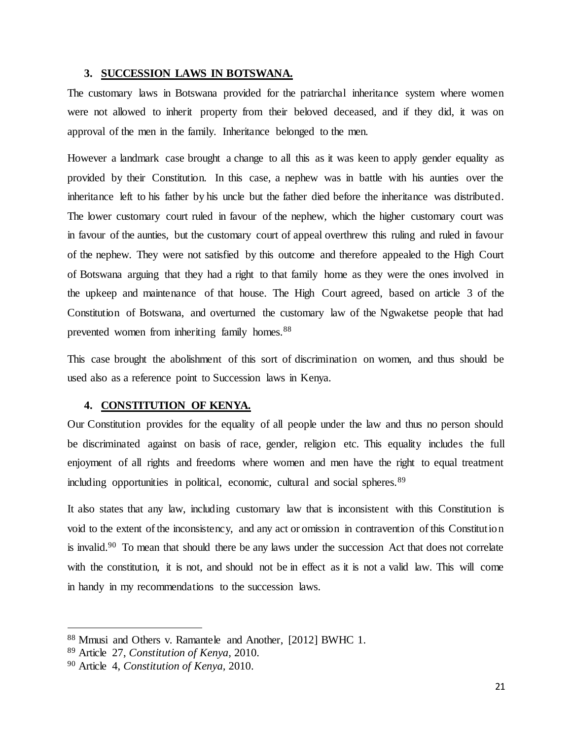#### <span id="page-30-0"></span>**3. SUCCESSION LAWS IN BOTSWANA.**

The customary laws in Botswana provided for the patriarchal inheritance system where women were not allowed to inherit property from their beloved deceased, and if they did, it was on approval of the men in the family. Inheritance belonged to the men.

However a landmark case brought a change to all this as it was keen to apply gender equality as provided by their Constitution. In this case, a nephew was in battle with his aunties over the inheritance left to his father by his uncle but the father died before the inheritance was distributed. The lower customary court ruled in favour of the nephew, which the higher customary court was in favour of the aunties, but the customary court of appeal overthrew this ruling and ruled in favour of the nephew. They were not satisfied by this outcome and therefore appealed to the High Court of Botswana arguing that they had a right to that family home as they were the ones involved in the upkeep and maintenance of that house. The High Court agreed, based on article 3 of the Constitution of Botswana, and overturned the customary law of the Ngwaketse people that had prevented women from inheriting family homes.<sup>88</sup>

This case brought the abolishment of this sort of discrimination on women, and thus should be used also as a reference point to Succession laws in Kenya.

### <span id="page-30-1"></span>**4. CONSTITUTION OF KENYA.**

Our Constitution provides for the equality of all people under the law and thus no person should be discriminated against on basis of race, gender, religion etc. This equality includes the full enjoyment of all rights and freedoms where women and men have the right to equal treatment including opportunities in political, economic, cultural and social spheres.<sup>89</sup>

It also states that any law, including customary law that is inconsistent with this Constitution is void to the extent of the inconsistency, and any act or omission in contravention of this Constitution is invalid.<sup>90</sup> To mean that should there be any laws under the succession Act that does not correlate with the constitution, it is not, and should not be in effect as it is not a valid law. This will come in handy in my recommendations to the succession laws.

<sup>88</sup> Mmusi and Others v. Ramantele and Another, [2012] BWHC 1.

<sup>89</sup> Article 27, *Constitution of Kenya,* 2010.

<sup>90</sup> Article 4, *Constitution of Kenya,* 2010.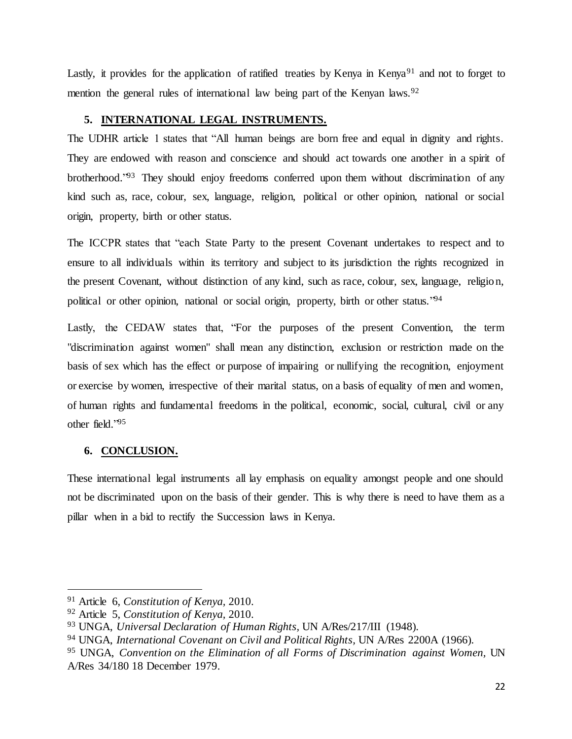Lastly, it provides for the application of ratified treaties by Kenya in Kenya<sup>91</sup> and not to forget to mention the general rules of international law being part of the Kenyan laws.<sup>92</sup>

# <span id="page-31-0"></span>**5. INTERNATIONAL LEGAL INSTRUMENTS.**

The UDHR article 1 states that "All human beings are born free and equal in dignity and rights. They are endowed with reason and conscience and should act towards one another in a spirit of brotherhood.<sup>"93</sup> They should enjoy freedoms conferred upon them without discrimination of any kind such as, race, colour, sex, language, religion, political or other opinion, national or social origin, property, birth or other status.

The ICCPR states that "each State Party to the present Covenant undertakes to respect and to ensure to all individuals within its territory and subject to its jurisdiction the rights recognized in the present Covenant, without distinction of any kind, such as race, colour, sex, language, religion, political or other opinion, national or social origin, property, birth or other status."<sup>94</sup>

Lastly, the CEDAW states that, "For the purposes of the present Convention, the term "discrimination against women" shall mean any distinction, exclusion or restriction made on the basis of sex which has the effect or purpose of impairing or nullifying the recognition, enjoyment or exercise by women, irrespective of their marital status, on a basis of equality of men and women, of human rights and fundamental freedoms in the political, economic, social, cultural, civil or any other field." 95

# **6. CONCLUSION.**

 $\ddot{\phantom{a}}$ 

These international legal instruments all lay emphasis on equality amongst people and one should not be discriminated upon on the basis of their gender. This is why there is need to have them as a pillar when in a bid to rectify the Succession laws in Kenya.

<sup>91</sup> Article 6, *Constitution of Kenya,* 2010.

<sup>92</sup> Article 5, *Constitution of Kenya,* 2010.

<sup>93</sup> UNGA, *Universal Declaration of Human Rights,* UN A/Res/217/III (1948).

<sup>94</sup> UNGA, *International Covenant on Civil and Political Rights,* UN A/Res 2200A (1966).

<sup>95</sup> UNGA, *Convention on the Elimination of all Forms of Discrimination against Women,* UN A/Res 34/180 18 December 1979.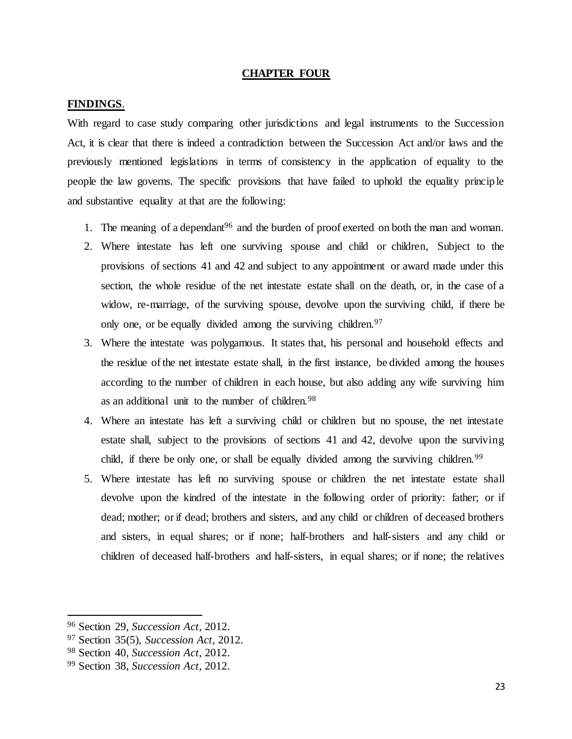#### **CHAPTER FOUR**

### <span id="page-32-1"></span><span id="page-32-0"></span>**FINDINGS**.

With regard to case study comparing other jurisdictions and legal instruments to the Succession Act, it is clear that there is indeed a contradiction between the Succession Act and/or laws and the previously mentioned legislations in terms of consistency in the application of equality to the people the law governs. The specific provisions that have failed to uphold the equality principle and substantive equality at that are the following:

- 1. The meaning of a dependant<sup>96</sup> and the burden of proof exerted on both the man and woman.
- 2. Where intestate has left one surviving spouse and child or children, Subject to the provisions of sections 41 and 42 and subject to any appointment or award made under this section, the whole residue of the net intestate estate shall on the death, or, in the case of a widow, re-marriage, of the surviving spouse, devolve upon the surviving child, if there be only one, or be equally divided among the surviving children.<sup>97</sup>
- 3. Where the intestate was polygamous. It states that, his personal and household effects and the residue of the net intestate estate shall, in the first instance, be divided among the houses according to the number of children in each house, but also adding any wife surviving him as an additional unit to the number of children.<sup>98</sup>
- 4. Where an intestate has left a surviving child or children but no spouse, the net intestate estate shall, subject to the provisions of sections 41 and 42, devolve upon the surviving child, if there be only one, or shall be equally divided among the surviving children.<sup>99</sup>
- 5. Where intestate has left no surviving spouse or children the net intestate estate shall devolve upon the kindred of the intestate in the following order of priority: father; or if dead; mother; or if dead; brothers and sisters, and any child or children of deceased brothers and sisters, in equal shares; or if none; half-brothers and half-sisters and any child or children of deceased half-brothers and half-sisters, in equal shares; or if none; the relatives

<sup>96</sup> Section 29, *Succession Act,* 2012.

<sup>97</sup> Section 35(5), *Succession Act,* 2012.

<sup>98</sup> Section 40, *Succession Act,* 2012.

<sup>99</sup> Section 38, *Succession Act,* 2012.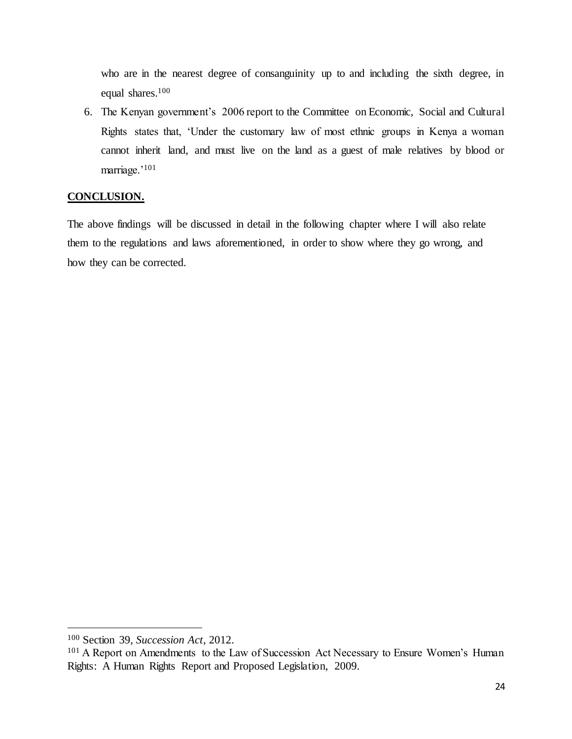who are in the nearest degree of consanguinity up to and including the sixth degree, in equal shares. 100

6. The Kenyan government's 2006 report to the Committee on Economic, Social and Cultural Rights states that, 'Under the customary law of most ethnic groups in Kenya a woman cannot inherit land, and must live on the land as a guest of male relatives by blood or marriage.'<sup>101</sup>

# **CONCLUSION.**

The above findings will be discussed in detail in the following chapter where I will also relate them to the regulations and laws aforementioned, in order to show where they go wrong, and how they can be corrected.

<sup>100</sup> Section 39, *Succession Act,* 2012.

<sup>&</sup>lt;sup>101</sup> A Report on Amendments to the Law of Succession Act Necessary to Ensure Women's Human Rights: A Human Rights Report and Proposed Legislation, 2009.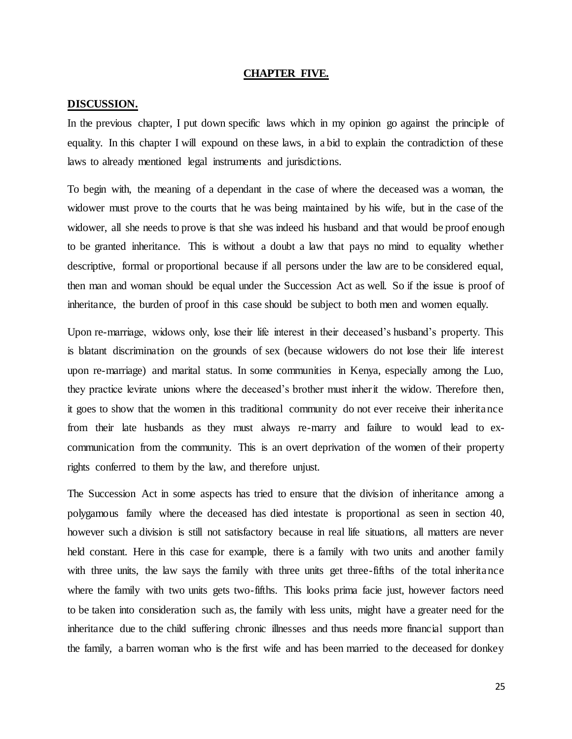#### **CHAPTER FIVE.**

#### <span id="page-34-1"></span><span id="page-34-0"></span>**DISCUSSION.**

In the previous chapter, I put down specific laws which in my opinion go against the principle of equality. In this chapter I will expound on these laws, in a bid to explain the contradiction of these laws to already mentioned legal instruments and jurisdictions.

To begin with, the meaning of a dependant in the case of where the deceased was a woman, the widower must prove to the courts that he was being maintained by his wife, but in the case of the widower, all she needs to prove is that she was indeed his husband and that would be proof enough to be granted inheritance. This is without a doubt a law that pays no mind to equality whether descriptive, formal or proportional because if all persons under the law are to be considered equal, then man and woman should be equal under the Succession Act as well. So if the issue is proof of inheritance, the burden of proof in this case should be subject to both men and women equally.

Upon re-marriage, widows only, lose their life interest in their deceased's husband's property. This is blatant discrimination on the grounds of sex (because widowers do not lose their life interest upon re-marriage) and marital status. In some communities in Kenya, especially among the Luo, they practice levirate unions where the deceased's brother must inherit the widow. Therefore then, it goes to show that the women in this traditional community do not ever receive their inheritance from their late husbands as they must always re-marry and failure to would lead to excommunication from the community. This is an overt deprivation of the women of their property rights conferred to them by the law, and therefore unjust.

The Succession Act in some aspects has tried to ensure that the division of inheritance among a polygamous family where the deceased has died intestate is proportional as seen in section 40, however such a division is still not satisfactory because in real life situations, all matters are never held constant. Here in this case for example, there is a family with two units and another family with three units, the law says the family with three units get three-fifths of the total inheritance where the family with two units gets two-fifths. This looks prima facie just, however factors need to be taken into consideration such as, the family with less units, might have a greater need for the inheritance due to the child suffering chronic illnesses and thus needs more financial support than the family, a barren woman who is the first wife and has been married to the deceased for donkey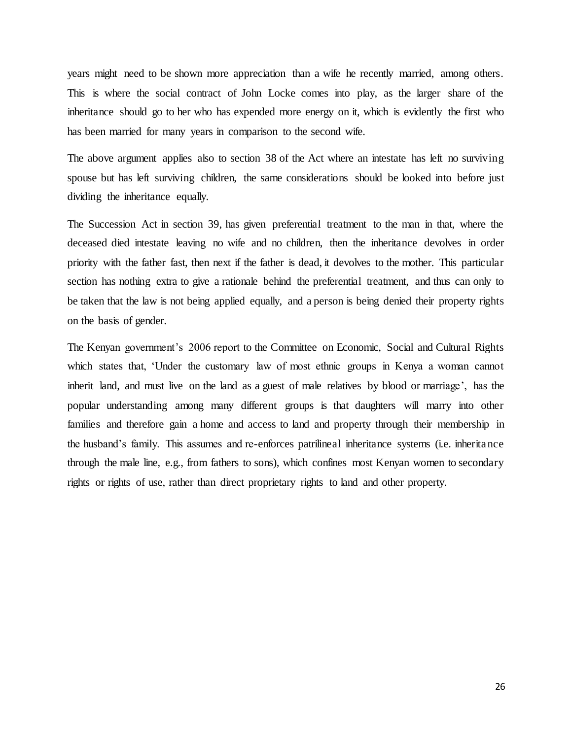years might need to be shown more appreciation than a wife he recently married, among others. This is where the social contract of John Locke comes into play, as the larger share of the inheritance should go to her who has expended more energy on it, which is evidently the first who has been married for many years in comparison to the second wife.

The above argument applies also to section 38 of the Act where an intestate has left no surviving spouse but has left surviving children, the same considerations should be looked into before just dividing the inheritance equally.

The Succession Act in section 39, has given preferential treatment to the man in that, where the deceased died intestate leaving no wife and no children, then the inheritance devolves in order priority with the father fast, then next if the father is dead, it devolves to the mother. This particular section has nothing extra to give a rationale behind the preferential treatment, and thus can only to be taken that the law is not being applied equally, and a person is being denied their property rights on the basis of gender.

The Kenyan government's 2006 report to the Committee on Economic, Social and Cultural Rights which states that, 'Under the customary law of most ethnic groups in Kenya a woman cannot inherit land, and must live on the land as a guest of male relatives by blood or marriage', has the popular understanding among many different groups is that daughters will marry into other families and therefore gain a home and access to land and property through their membership in the husband's family. This assumes and re-enforces patrilineal inheritance systems (i.e. inheritance through the male line, e.g., from fathers to sons), which confines most Kenyan women to secondary rights or rights of use, rather than direct proprietary rights to land and other property.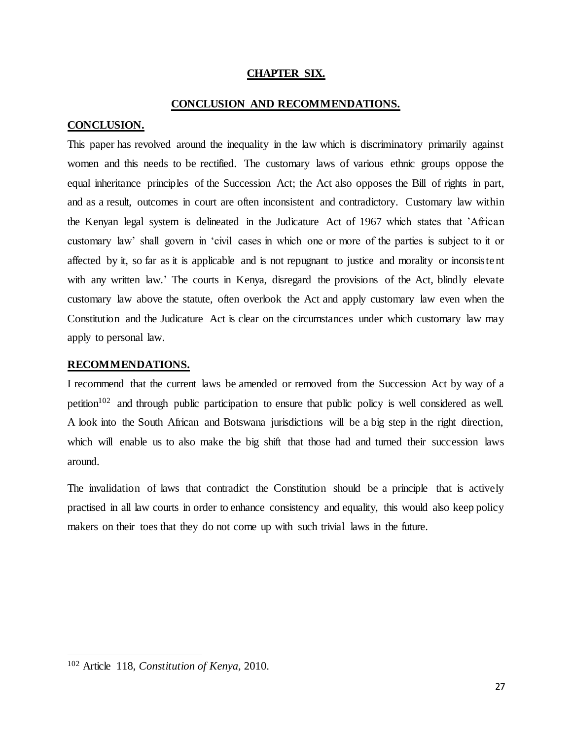# **CHAPTER SIX.**

### **CONCLUSION AND RECOMMENDATIONS.**

## <span id="page-36-2"></span><span id="page-36-1"></span><span id="page-36-0"></span>**CONCLUSION.**

This paper has revolved around the inequality in the law which is discriminatory primarily against women and this needs to be rectified. The customary laws of various ethnic groups oppose the equal inheritance principles of the Succession Act; the Act also opposes the Bill of rights in part, and as a result, outcomes in court are often inconsistent and contradictory. Customary law within the Kenyan legal system is delineated in the Judicature Act of 1967 which states that 'African customary law' shall govern in 'civil cases in which one or more of the parties is subject to it or affected by it, so far as it is applicable and is not repugnant to justice and morality or inconsistent with any written law.' The courts in Kenya, disregard the provisions of the Act, blindly elevate customary law above the statute, often overlook the Act and apply customary law even when the Constitution and the Judicature Act is clear on the circumstances under which customary law may apply to personal law.

#### <span id="page-36-3"></span>**RECOMMENDATIONS.**

I recommend that the current laws be amended or removed from the Succession Act by way of a petition<sup>102</sup> and through public participation to ensure that public policy is well considered as well. A look into the South African and Botswana jurisdictions will be a big step in the right direction, which will enable us to also make the big shift that those had and turned their succession laws around.

The invalidation of laws that contradict the Constitution should be a principle that is actively practised in all law courts in order to enhance consistency and equality, this would also keep policy makers on their toes that they do not come up with such trivial laws in the future.

<sup>102</sup> Article 118, *Constitution of Kenya,* 2010.